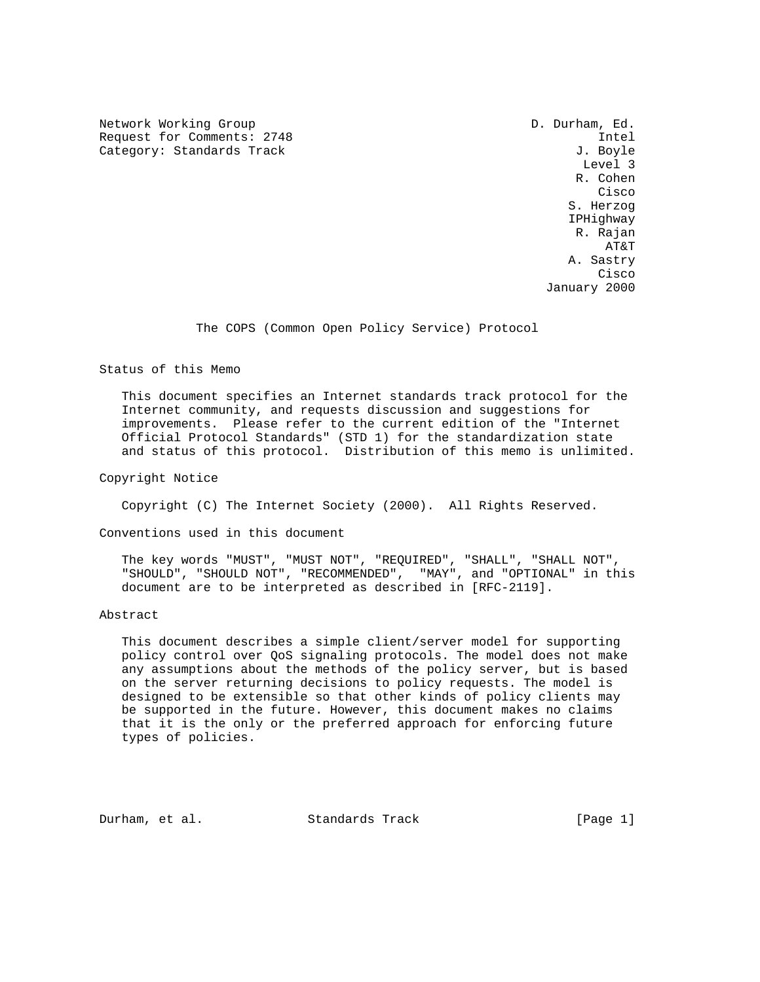Network Working Group D. Durham, Ed. Request for Comments: 2748 Intel Category: Standards Track

 Level 3 R. Cohen na de la constitución de la constitución de la constitución de la constitución de la constitución de la constitución de la constitución de la constitución de la constitución de la constitución de la constitución de la cons S. Herzog IPHighway R. Rajan AT&T A. Sastry na de la constitución de la constitución de la constitución de la constitución de la constitución de la constitución de la constitución de la constitución de la constitución de la constitución de la constitución de la cons January 2000

The COPS (Common Open Policy Service) Protocol

Status of this Memo

 This document specifies an Internet standards track protocol for the Internet community, and requests discussion and suggestions for improvements. Please refer to the current edition of the "Internet Official Protocol Standards" (STD 1) for the standardization state and status of this protocol. Distribution of this memo is unlimited.

Copyright Notice

Copyright (C) The Internet Society (2000). All Rights Reserved.

Conventions used in this document

 The key words "MUST", "MUST NOT", "REQUIRED", "SHALL", "SHALL NOT", "SHOULD", "SHOULD NOT", "RECOMMENDED", "MAY", and "OPTIONAL" in this document are to be interpreted as described in [RFC-2119].

Abstract

 This document describes a simple client/server model for supporting policy control over QoS signaling protocols. The model does not make any assumptions about the methods of the policy server, but is based on the server returning decisions to policy requests. The model is designed to be extensible so that other kinds of policy clients may be supported in the future. However, this document makes no claims that it is the only or the preferred approach for enforcing future types of policies.

Durham, et al. Standards Track [Page 1]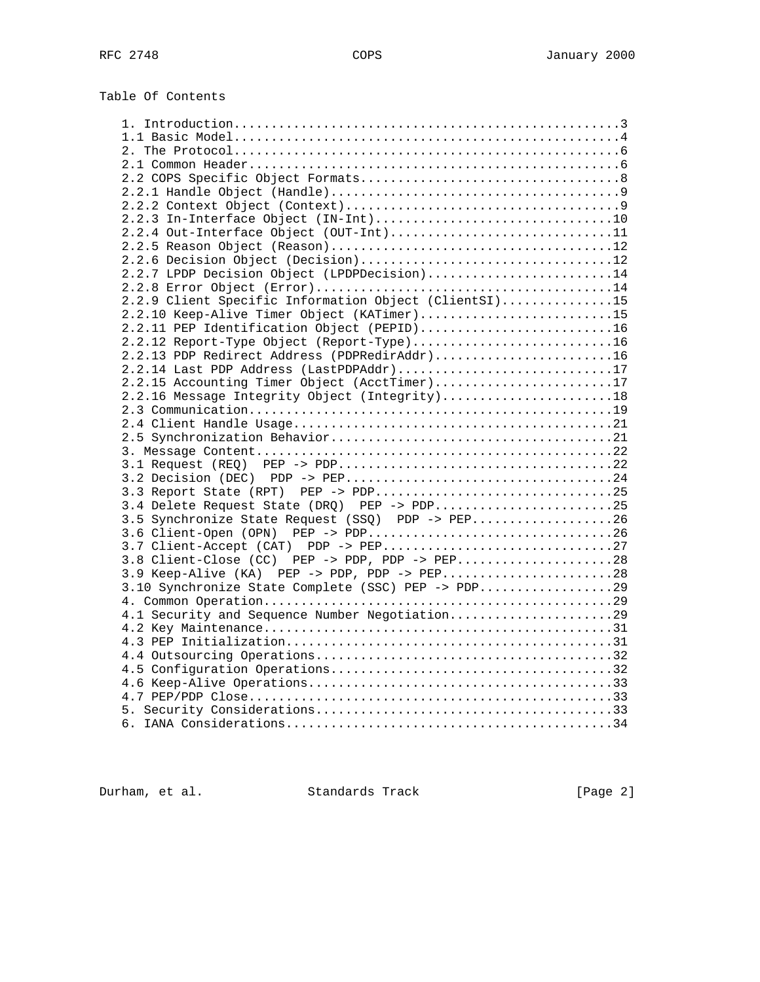| Table Of Contents |  |
|-------------------|--|
|-------------------|--|

| 2.2.3 In-Interface Object (IN-Int)10                  |
|-------------------------------------------------------|
| 2.2.4 Out-Interface Object (OUT-Int)11                |
|                                                       |
|                                                       |
|                                                       |
| 2.2.7 LPDP Decision Object (LPDPDecision)14           |
|                                                       |
| 2.2.9 Client Specific Information Object (ClientSI)15 |
| 2.2.10 Keep-Alive Timer Object (KATimer)15            |
| 2.2.11 PEP Identification Object (PEPID)16            |
|                                                       |
| 2.2.13 PDP Redirect Address (PDPRedirAddr)16          |
|                                                       |
| 2.2.14 Last PDP Address (LastPDPAddr)17               |
| 2.2.15 Accounting Timer Object (AcctTimer)17          |
| 2.2.16 Message Integrity Object (Integrity)18         |
|                                                       |
|                                                       |
|                                                       |
|                                                       |
|                                                       |
|                                                       |
|                                                       |
|                                                       |
| 3.4 Delete Request State (DRQ) PEP -> PDP25           |
| 3.5 Synchronize State Request (SSQ) PDP -> PEP26      |
|                                                       |
|                                                       |
| 3.8 Client-Close (CC) PEP -> PDP, PDP -> PEP28        |
|                                                       |
| 3.9 Keep-Alive (KA) PEP -> PDP, PDP -> PEP28          |
| 3.10 Synchronize State Complete (SSC) PEP -> PDP29    |
|                                                       |
| 4.1 Security and Sequence Number Negotiation29        |
|                                                       |
|                                                       |
|                                                       |
|                                                       |
|                                                       |
|                                                       |
|                                                       |
|                                                       |
|                                                       |
|                                                       |

Durham, et al. Standards Track [Page 2]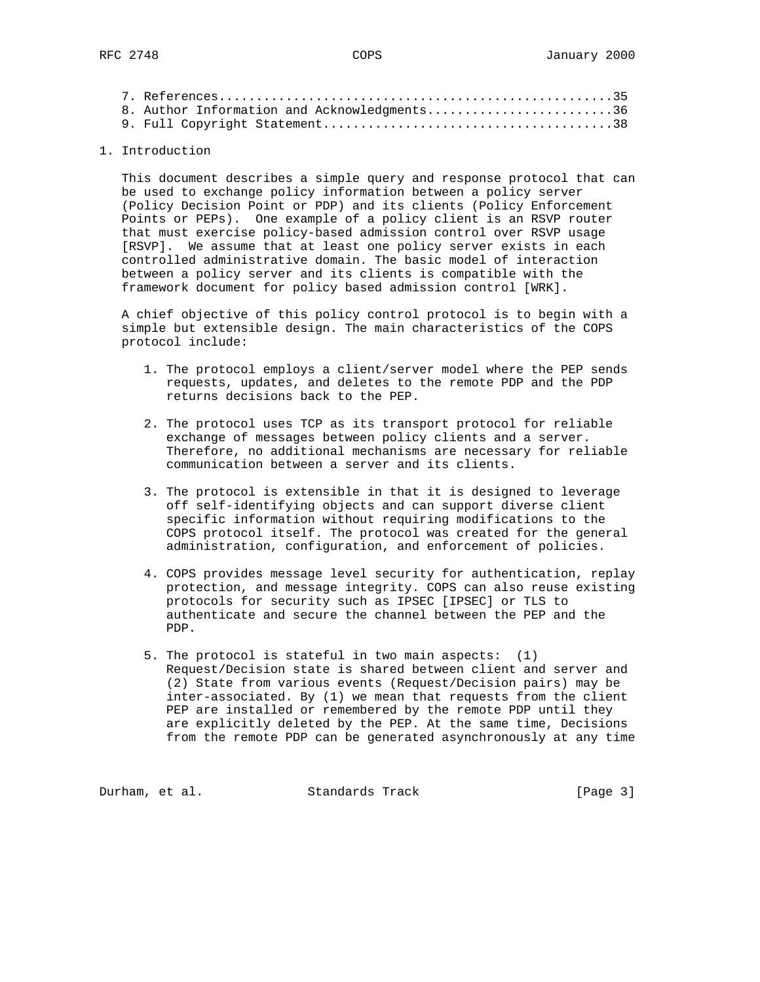|  | 8. Author Information and Acknowledgments36 |  |
|--|---------------------------------------------|--|
|  |                                             |  |

# 1. Introduction

 This document describes a simple query and response protocol that can be used to exchange policy information between a policy server (Policy Decision Point or PDP) and its clients (Policy Enforcement Points or PEPs). One example of a policy client is an RSVP router that must exercise policy-based admission control over RSVP usage [RSVP]. We assume that at least one policy server exists in each controlled administrative domain. The basic model of interaction between a policy server and its clients is compatible with the framework document for policy based admission control [WRK].

 A chief objective of this policy control protocol is to begin with a simple but extensible design. The main characteristics of the COPS protocol include:

- 1. The protocol employs a client/server model where the PEP sends requests, updates, and deletes to the remote PDP and the PDP returns decisions back to the PEP.
- 2. The protocol uses TCP as its transport protocol for reliable exchange of messages between policy clients and a server. Therefore, no additional mechanisms are necessary for reliable communication between a server and its clients.
- 3. The protocol is extensible in that it is designed to leverage off self-identifying objects and can support diverse client specific information without requiring modifications to the COPS protocol itself. The protocol was created for the general administration, configuration, and enforcement of policies.
- 4. COPS provides message level security for authentication, replay protection, and message integrity. COPS can also reuse existing protocols for security such as IPSEC [IPSEC] or TLS to authenticate and secure the channel between the PEP and the PDP.
- 5. The protocol is stateful in two main aspects: (1) Request/Decision state is shared between client and server and (2) State from various events (Request/Decision pairs) may be inter-associated. By (1) we mean that requests from the client PEP are installed or remembered by the remote PDP until they are explicitly deleted by the PEP. At the same time, Decisions from the remote PDP can be generated asynchronously at any time

Durham, et al. Standards Track [Page 3]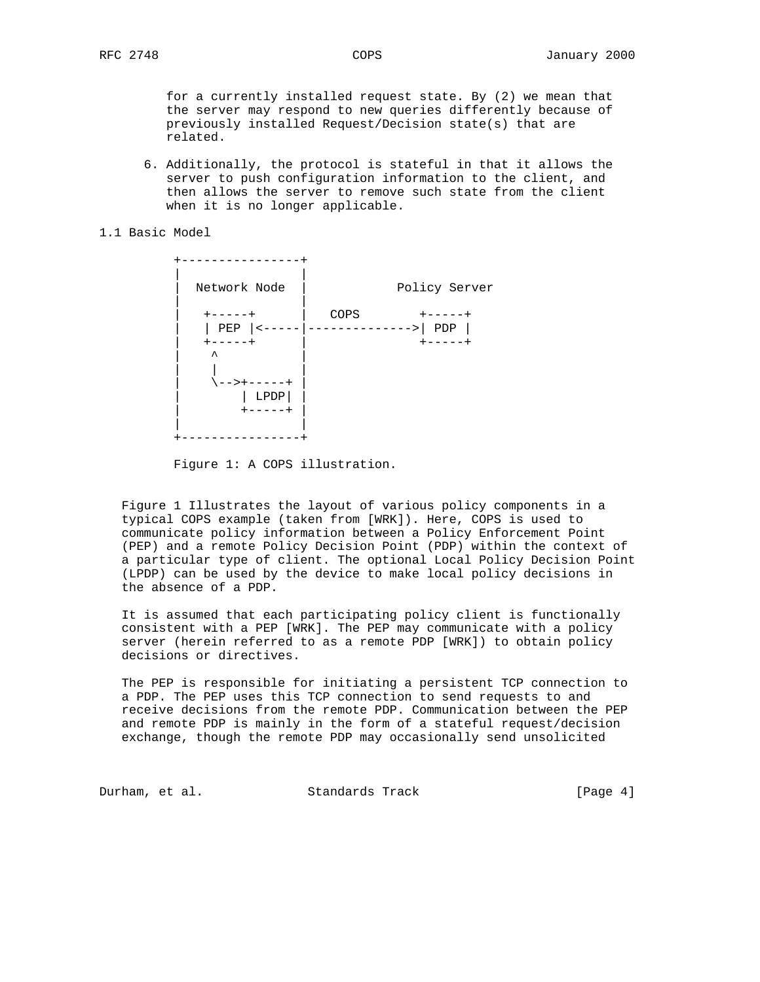for a currently installed request state. By (2) we mean that the server may respond to new queries differently because of previously installed Request/Decision state(s) that are related.

 6. Additionally, the protocol is stateful in that it allows the server to push configuration information to the client, and then allows the server to remove such state from the client when it is no longer applicable.

#### 1.1 Basic Model

| -------                                                                         |                        |                               |
|---------------------------------------------------------------------------------|------------------------|-------------------------------|
| Network Node                                                                    |                        | Policy Server                 |
| -----+<br>PEP<br>$+ - - - - +$<br>ᄉ<br>- - > + - - - - - +<br>$L$ PDP<br>-----+ | COPS<br>-------------> | $+ - - - - +$<br>PDP<br>----+ |
|                                                                                 |                        |                               |

Figure 1: A COPS illustration.

 Figure 1 Illustrates the layout of various policy components in a typical COPS example (taken from [WRK]). Here, COPS is used to communicate policy information between a Policy Enforcement Point (PEP) and a remote Policy Decision Point (PDP) within the context of a particular type of client. The optional Local Policy Decision Point (LPDP) can be used by the device to make local policy decisions in the absence of a PDP.

 It is assumed that each participating policy client is functionally consistent with a PEP [WRK]. The PEP may communicate with a policy server (herein referred to as a remote PDP [WRK]) to obtain policy decisions or directives.

 The PEP is responsible for initiating a persistent TCP connection to a PDP. The PEP uses this TCP connection to send requests to and receive decisions from the remote PDP. Communication between the PEP and remote PDP is mainly in the form of a stateful request/decision exchange, though the remote PDP may occasionally send unsolicited

Durham, et al. Standards Track [Page 4]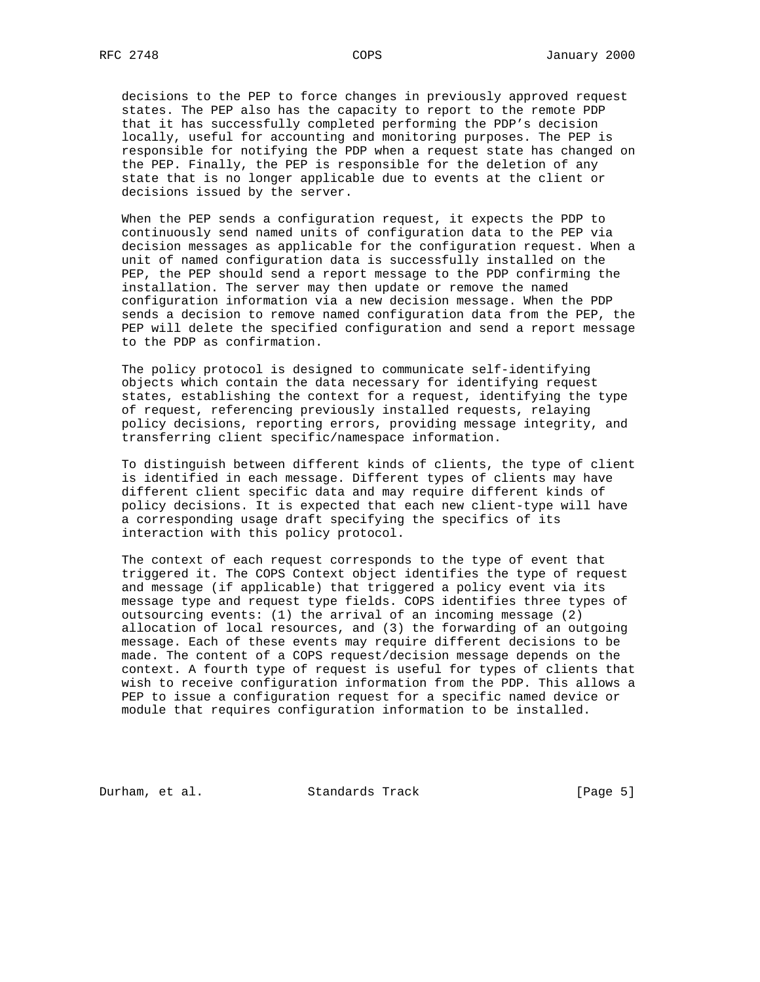decisions to the PEP to force changes in previously approved request states. The PEP also has the capacity to report to the remote PDP that it has successfully completed performing the PDP's decision locally, useful for accounting and monitoring purposes. The PEP is responsible for notifying the PDP when a request state has changed on the PEP. Finally, the PEP is responsible for the deletion of any state that is no longer applicable due to events at the client or decisions issued by the server.

 When the PEP sends a configuration request, it expects the PDP to continuously send named units of configuration data to the PEP via decision messages as applicable for the configuration request. When a unit of named configuration data is successfully installed on the PEP, the PEP should send a report message to the PDP confirming the installation. The server may then update or remove the named configuration information via a new decision message. When the PDP sends a decision to remove named configuration data from the PEP, the PEP will delete the specified configuration and send a report message to the PDP as confirmation.

 The policy protocol is designed to communicate self-identifying objects which contain the data necessary for identifying request states, establishing the context for a request, identifying the type of request, referencing previously installed requests, relaying policy decisions, reporting errors, providing message integrity, and transferring client specific/namespace information.

 To distinguish between different kinds of clients, the type of client is identified in each message. Different types of clients may have different client specific data and may require different kinds of policy decisions. It is expected that each new client-type will have a corresponding usage draft specifying the specifics of its interaction with this policy protocol.

 The context of each request corresponds to the type of event that triggered it. The COPS Context object identifies the type of request and message (if applicable) that triggered a policy event via its message type and request type fields. COPS identifies three types of outsourcing events: (1) the arrival of an incoming message (2) allocation of local resources, and (3) the forwarding of an outgoing message. Each of these events may require different decisions to be made. The content of a COPS request/decision message depends on the context. A fourth type of request is useful for types of clients that wish to receive configuration information from the PDP. This allows a PEP to issue a configuration request for a specific named device or module that requires configuration information to be installed.

Durham, et al. Standards Track [Page 5]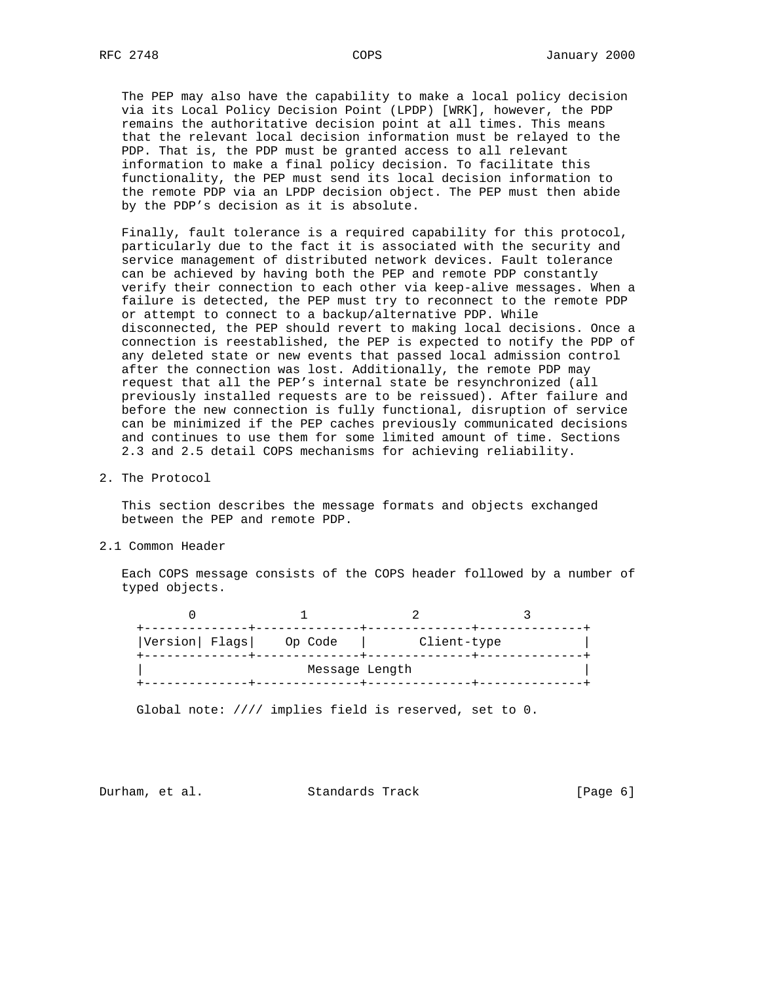The PEP may also have the capability to make a local policy decision via its Local Policy Decision Point (LPDP) [WRK], however, the PDP remains the authoritative decision point at all times. This means that the relevant local decision information must be relayed to the PDP. That is, the PDP must be granted access to all relevant information to make a final policy decision. To facilitate this functionality, the PEP must send its local decision information to the remote PDP via an LPDP decision object. The PEP must then abide by the PDP's decision as it is absolute.

 Finally, fault tolerance is a required capability for this protocol, particularly due to the fact it is associated with the security and service management of distributed network devices. Fault tolerance can be achieved by having both the PEP and remote PDP constantly verify their connection to each other via keep-alive messages. When a failure is detected, the PEP must try to reconnect to the remote PDP or attempt to connect to a backup/alternative PDP. While disconnected, the PEP should revert to making local decisions. Once a connection is reestablished, the PEP is expected to notify the PDP of any deleted state or new events that passed local admission control after the connection was lost. Additionally, the remote PDP may request that all the PEP's internal state be resynchronized (all previously installed requests are to be reissued). After failure and before the new connection is fully functional, disruption of service can be minimized if the PEP caches previously communicated decisions and continues to use them for some limited amount of time. Sections 2.3 and 2.5 detail COPS mechanisms for achieving reliability.

2. The Protocol

 This section describes the message formats and objects exchanged between the PEP and remote PDP.

2.1 Common Header

 Each COPS message consists of the COPS header followed by a number of typed objects.

0 1 2 3 +--------------+--------------+--------------+--------------+ |Version| Flags| Op Code | Client-type | +--------------+--------------+--------------+--------------+ Message Length +--------------+--------------+--------------+--------------+

Global note: //// implies field is reserved, set to 0.

Durham, et al. Standards Track [Page 6]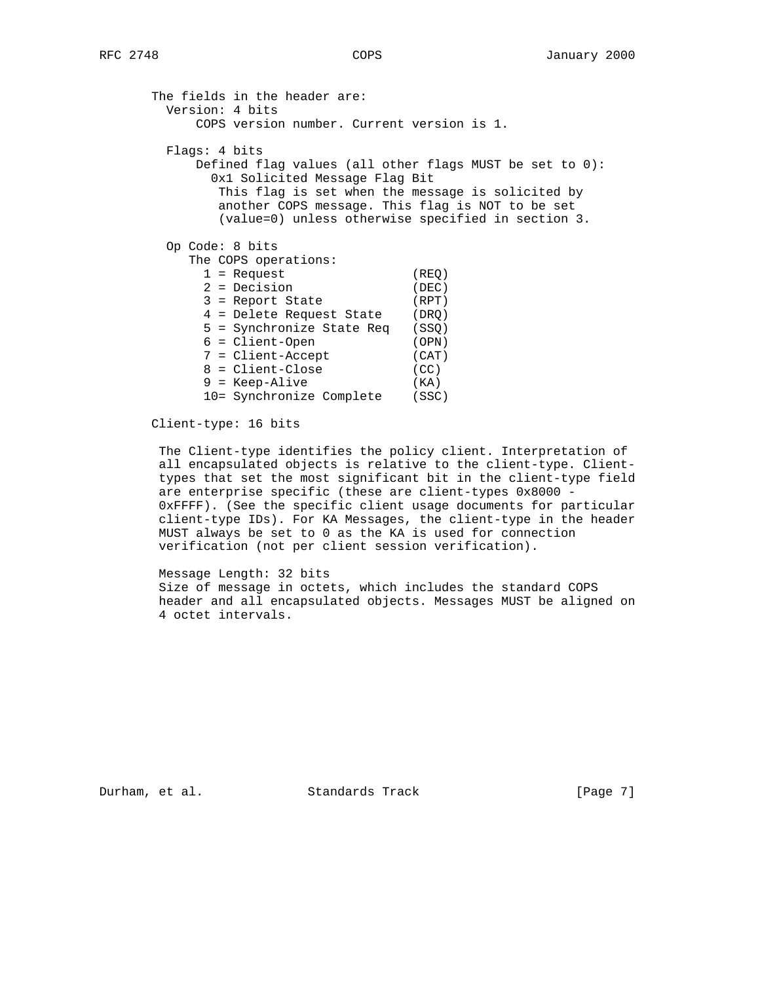| The fields in the header are:                              |       |
|------------------------------------------------------------|-------|
| Version: 4 bits                                            |       |
| COPS version number. Current version is 1.                 |       |
| Flags: 4 bits                                              |       |
| Defined flag values (all other flags MUST be set to $0$ ): |       |
| 0x1 Solicited Message Flag Bit                             |       |
| This flag is set when the message is solicited by          |       |
| another COPS message. This flag is NOT to be set           |       |
| (value=0) unless otherwise specified in section 3.         |       |
|                                                            |       |
| Op Code: 8 bits                                            |       |
| The COPS operations:                                       |       |
| $1 =$ Request                                              | (REO) |
| $2 =$ Decision                                             | (DEC) |
| $3$ = Report State                                         | (RPT) |
| 4 = Delete Request State                                   | (DRO) |
| 5 = Synchronize State Req                                  | (SSQ) |
| $6 =$ Client-Open                                          | (OPN) |
| 7 = Client-Accept                                          | (CAT) |
| 8 = Client-Close                                           | (CC)  |
| $9$ = Keep-Alive                                           | (KA)  |
| 10= Synchronize Complete                                   | (SSC) |
|                                                            |       |

Client-type: 16 bits

 The Client-type identifies the policy client. Interpretation of all encapsulated objects is relative to the client-type. Client types that set the most significant bit in the client-type field are enterprise specific (these are client-types 0x8000 - 0xFFFF). (See the specific client usage documents for particular client-type IDs). For KA Messages, the client-type in the header MUST always be set to 0 as the KA is used for connection verification (not per client session verification).

 Message Length: 32 bits Size of message in octets, which includes the standard COPS header and all encapsulated objects. Messages MUST be aligned on 4 octet intervals.

Durham, et al. Standards Track [Page 7]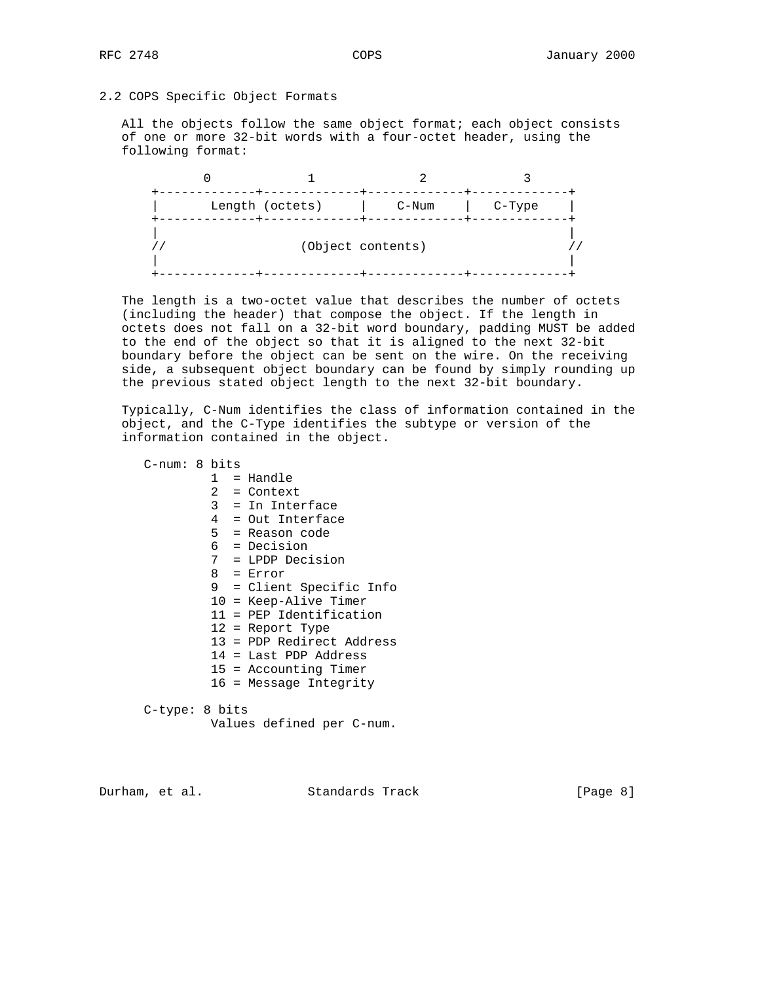# 2.2 COPS Specific Object Formats

 All the objects follow the same object format; each object consists of one or more 32-bit words with a four-octet header, using the following format:

| Length (octets) | $C-Num$           | $C-Type$ |
|-----------------|-------------------|----------|
|                 | (Object contents) |          |

 The length is a two-octet value that describes the number of octets (including the header) that compose the object. If the length in octets does not fall on a 32-bit word boundary, padding MUST be added to the end of the object so that it is aligned to the next 32-bit boundary before the object can be sent on the wire. On the receiving side, a subsequent object boundary can be found by simply rounding up the previous stated object length to the next 32-bit boundary.

 Typically, C-Num identifies the class of information contained in the object, and the C-Type identifies the subtype or version of the information contained in the object.

 C-num: 8 bits 1 = Handle 2 = Context 3 = In Interface 4 = Out Interface 5 = Reason code 6 = Decision 7 = LPDP Decision 8 = Error 9 = Client Specific Info 10 = Keep-Alive Timer 11 = PEP Identification 12 = Report Type 13 = PDP Redirect Address 14 = Last PDP Address 15 = Accounting Timer 16 = Message Integrity C-type: 8 bits

Values defined per C-num.

Durham, et al. Standards Track [Page 8]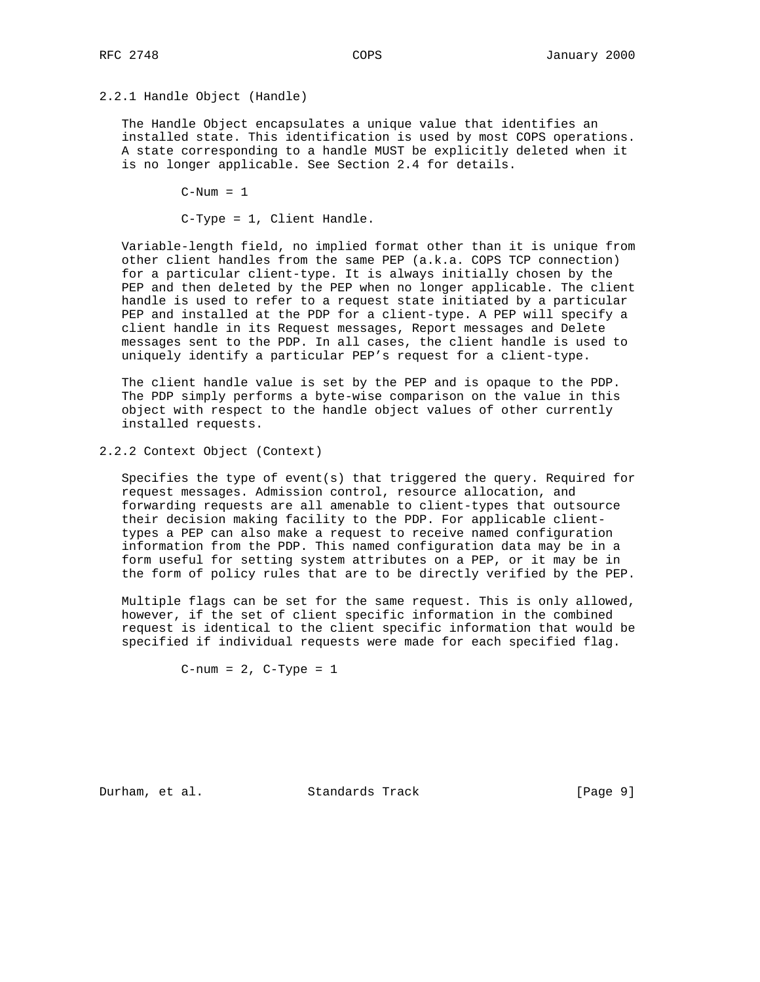## 2.2.1 Handle Object (Handle)

 The Handle Object encapsulates a unique value that identifies an installed state. This identification is used by most COPS operations. A state corresponding to a handle MUST be explicitly deleted when it is no longer applicable. See Section 2.4 for details.

 $C-Num = 1$ 

C-Type = 1, Client Handle.

 Variable-length field, no implied format other than it is unique from other client handles from the same PEP (a.k.a. COPS TCP connection) for a particular client-type. It is always initially chosen by the PEP and then deleted by the PEP when no longer applicable. The client handle is used to refer to a request state initiated by a particular PEP and installed at the PDP for a client-type. A PEP will specify a client handle in its Request messages, Report messages and Delete messages sent to the PDP. In all cases, the client handle is used to uniquely identify a particular PEP's request for a client-type.

 The client handle value is set by the PEP and is opaque to the PDP. The PDP simply performs a byte-wise comparison on the value in this object with respect to the handle object values of other currently installed requests.

2.2.2 Context Object (Context)

 Specifies the type of event(s) that triggered the query. Required for request messages. Admission control, resource allocation, and forwarding requests are all amenable to client-types that outsource their decision making facility to the PDP. For applicable client types a PEP can also make a request to receive named configuration information from the PDP. This named configuration data may be in a form useful for setting system attributes on a PEP, or it may be in the form of policy rules that are to be directly verified by the PEP.

 Multiple flags can be set for the same request. This is only allowed, however, if the set of client specific information in the combined request is identical to the client specific information that would be specified if individual requests were made for each specified flag.

 $C$ -num = 2,  $C$ -Type = 1

Durham, et al. Standards Track [Page 9]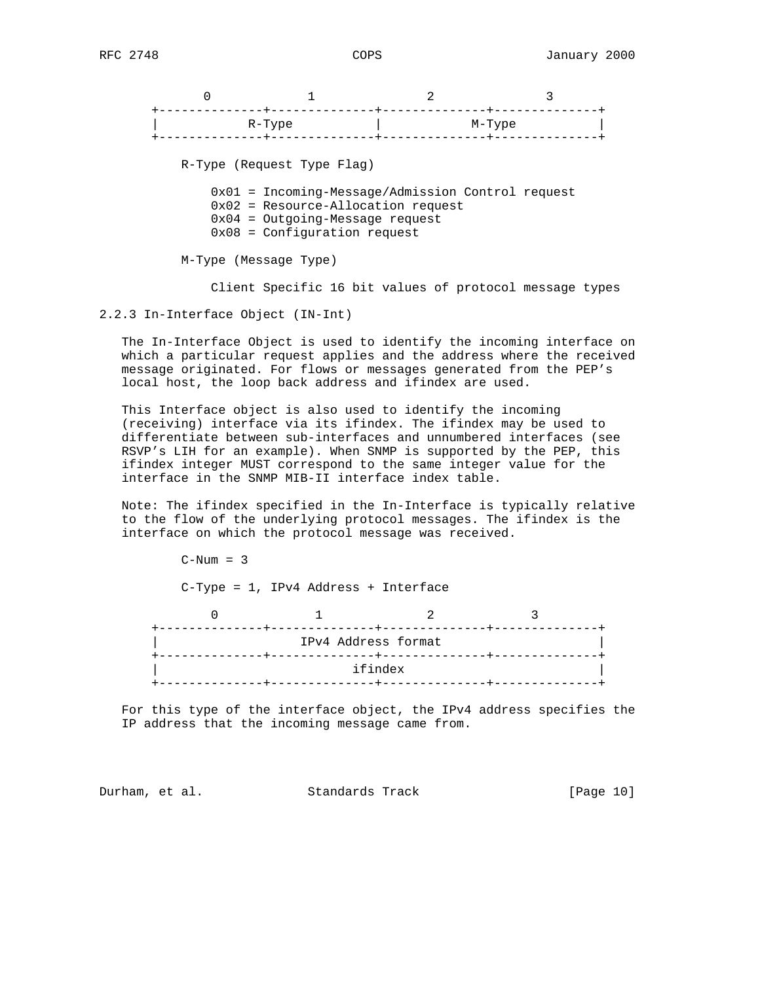|                       | $R-Type$                                                                                                    | M-Type |
|-----------------------|-------------------------------------------------------------------------------------------------------------|--------|
|                       | R-Type (Request Type Flag)<br>$0x01$ = Incoming-Message/Admission Control request                           |        |
|                       | $0x02$ = Resource-Allocation request<br>$0x04$ = Outgoing-Message request<br>$0x08 =$ Configuration request |        |
| M-Type (Message Type) |                                                                                                             |        |

Client Specific 16 bit values of protocol message types

2.2.3 In-Interface Object (IN-Int)

 The In-Interface Object is used to identify the incoming interface on which a particular request applies and the address where the received message originated. For flows or messages generated from the PEP's local host, the loop back address and ifindex are used.

 This Interface object is also used to identify the incoming (receiving) interface via its ifindex. The ifindex may be used to differentiate between sub-interfaces and unnumbered interfaces (see RSVP's LIH for an example). When SNMP is supported by the PEP, this ifindex integer MUST correspond to the same integer value for the interface in the SNMP MIB-II interface index table.

 Note: The ifindex specified in the In-Interface is typically relative to the flow of the underlying protocol messages. The ifindex is the interface on which the protocol message was received.

 $C-Num = 3$  C-Type = 1, IPv4 Address + Interface  $\begin{array}{ccccccccccccccccc}\n0 & & & & 1 & & & & 2 & & & 3\n\end{array}$  +--------------+--------------+--------------+--------------+ IPv4 Address format +--------------+--------------+--------------+--------------+ ifindex +--------------+--------------+--------------+--------------+

 For this type of the interface object, the IPv4 address specifies the IP address that the incoming message came from.

Durham, et al. Standards Track [Page 10]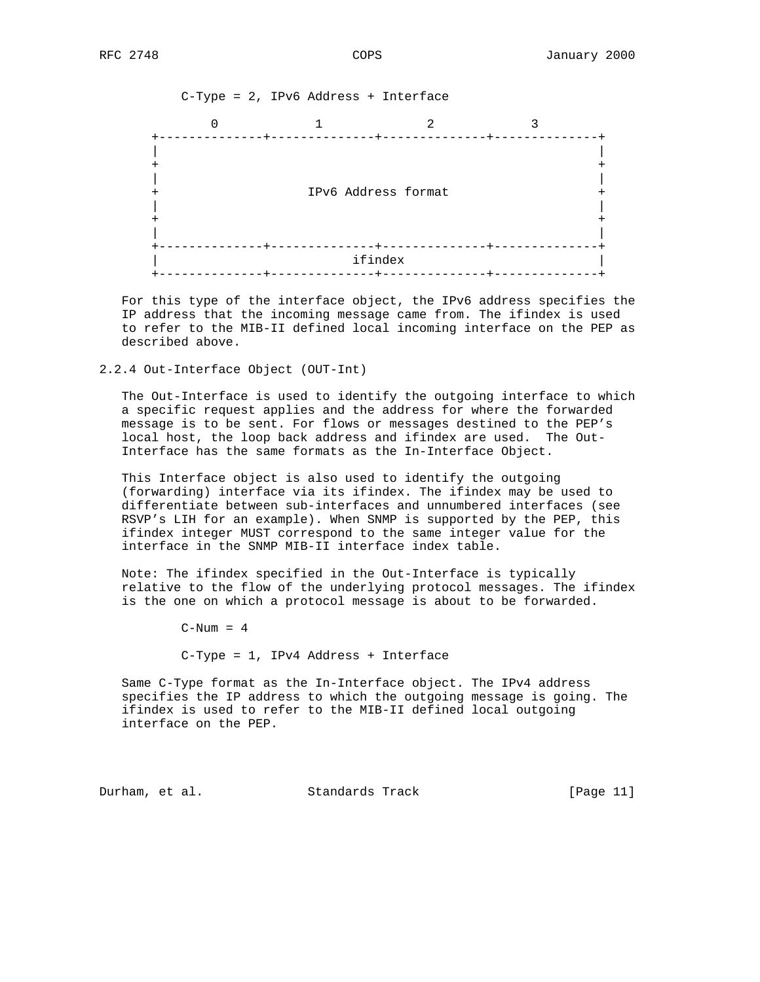C-Type = 2, IPv6 Address + Interface  $0$  1 2 3 +--------------+--------------+--------------+--------------+ | | + + | | + IPv6 Address format + | | + + | | +--------------+--------------+--------------+--------------+ ifindex +--------------+--------------+--------------+--------------+

 For this type of the interface object, the IPv6 address specifies the IP address that the incoming message came from. The ifindex is used to refer to the MIB-II defined local incoming interface on the PEP as described above.

2.2.4 Out-Interface Object (OUT-Int)

 The Out-Interface is used to identify the outgoing interface to which a specific request applies and the address for where the forwarded message is to be sent. For flows or messages destined to the PEP's local host, the loop back address and ifindex are used. The Out- Interface has the same formats as the In-Interface Object.

 This Interface object is also used to identify the outgoing (forwarding) interface via its ifindex. The ifindex may be used to differentiate between sub-interfaces and unnumbered interfaces (see RSVP's LIH for an example). When SNMP is supported by the PEP, this ifindex integer MUST correspond to the same integer value for the interface in the SNMP MIB-II interface index table.

 Note: The ifindex specified in the Out-Interface is typically relative to the flow of the underlying protocol messages. The ifindex is the one on which a protocol message is about to be forwarded.

 $C-Num = 4$ 

C-Type = 1, IPv4 Address + Interface

 Same C-Type format as the In-Interface object. The IPv4 address specifies the IP address to which the outgoing message is going. The ifindex is used to refer to the MIB-II defined local outgoing interface on the PEP.

Durham, et al. Standards Track [Page 11]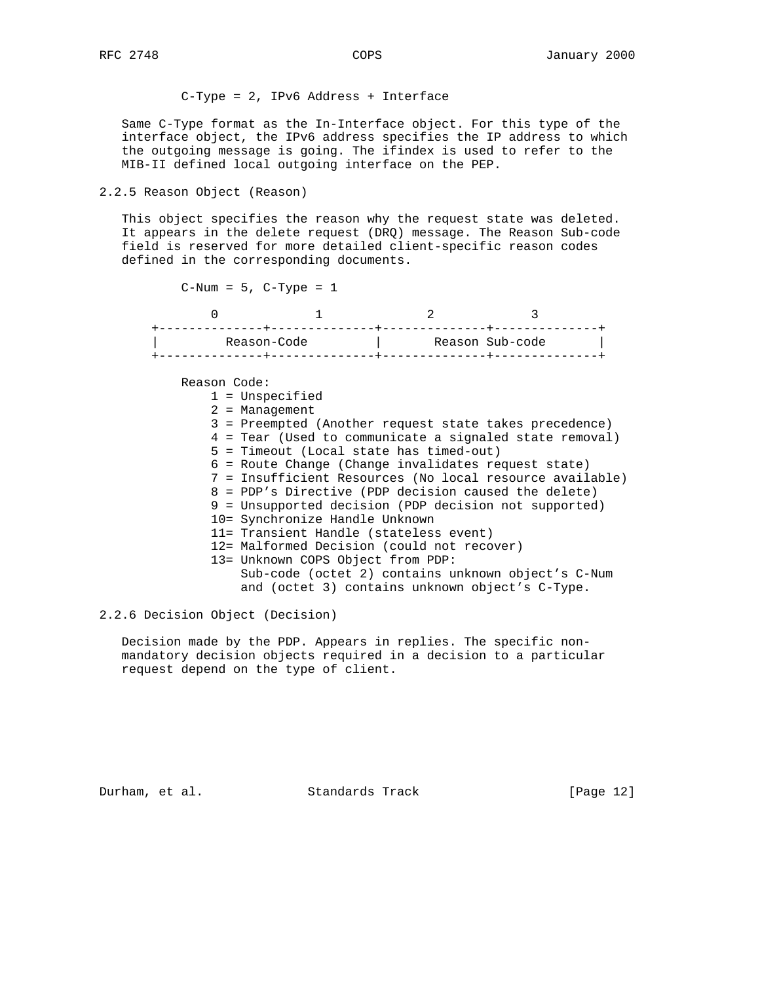C-Type = 2, IPv6 Address + Interface

 Same C-Type format as the In-Interface object. For this type of the interface object, the IPv6 address specifies the IP address to which the outgoing message is going. The ifindex is used to refer to the MIB-II defined local outgoing interface on the PEP.

# 2.2.5 Reason Object (Reason)

 This object specifies the reason why the request state was deleted. It appears in the delete request (DRQ) message. The Reason Sub-code field is reserved for more detailed client-specific reason codes defined in the corresponding documents.

 $C-Num = 5$ ,  $C-Type = 1$ 

| Reason-Code |  | Reason Sub-code |
|-------------|--|-----------------|
|             |  |                 |

Reason Code:

- 1 = Unspecified
- 2 = Management
- 3 = Preempted (Another request state takes precedence)
- 4 = Tear (Used to communicate a signaled state removal)
- 5 = Timeout (Local state has timed-out)
- 6 = Route Change (Change invalidates request state)
- 7 = Insufficient Resources (No local resource available)
- 8 = PDP's Directive (PDP decision caused the delete)
- 9 = Unsupported decision (PDP decision not supported)
- 10= Synchronize Handle Unknown
- 11= Transient Handle (stateless event)
- 12= Malformed Decision (could not recover)
- 13= Unknown COPS Object from PDP:
	- Sub-code (octet 2) contains unknown object's C-Num and (octet 3) contains unknown object's C-Type.

2.2.6 Decision Object (Decision)

 Decision made by the PDP. Appears in replies. The specific non mandatory decision objects required in a decision to a particular request depend on the type of client.

Durham, et al. Standards Track [Page 12]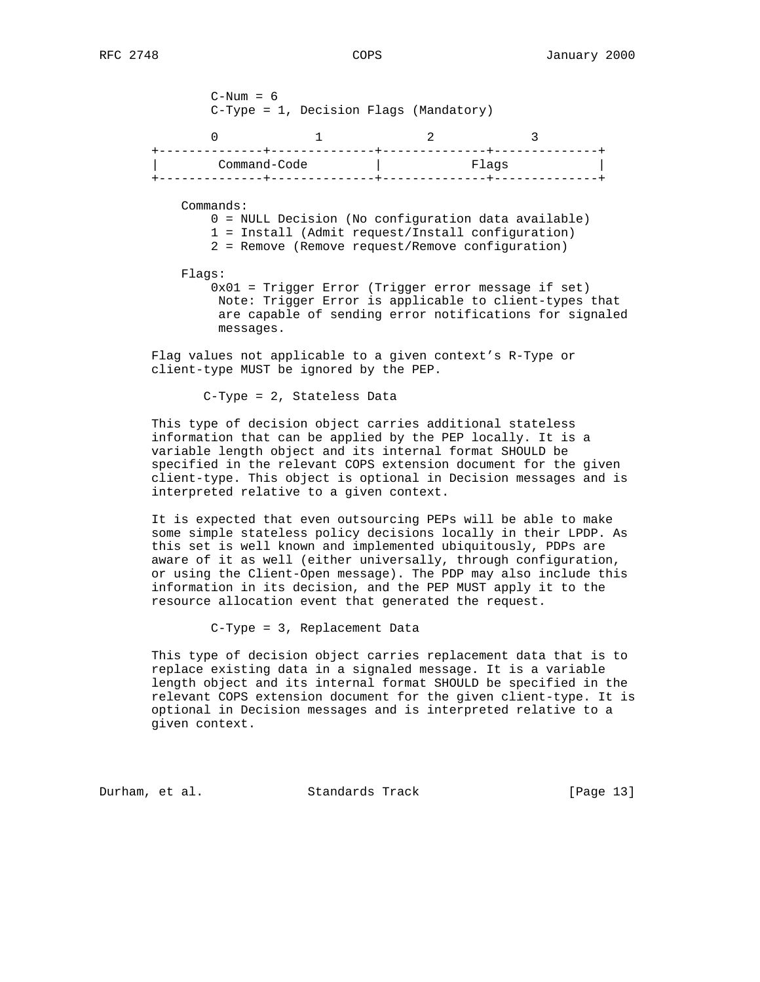$C-Num = 6$  C-Type = 1, Decision Flags (Mandatory) 0 1 2 3 +--------------+--------------+--------------+--------------+ |<br>| Command-Code | Flags | +--------------+--------------+--------------+--------------+ Commands: 0 = NULL Decision (No configuration data available) 1 = Install (Admit request/Install configuration) 2 = Remove (Remove request/Remove configuration) Flags: 0x01 = Trigger Error (Trigger error message if set) Note: Trigger Error is applicable to client-types that are capable of sending error notifications for signaled messages.

 Flag values not applicable to a given context's R-Type or client-type MUST be ignored by the PEP.

C-Type = 2, Stateless Data

 This type of decision object carries additional stateless information that can be applied by the PEP locally. It is a variable length object and its internal format SHOULD be specified in the relevant COPS extension document for the given client-type. This object is optional in Decision messages and is interpreted relative to a given context.

 It is expected that even outsourcing PEPs will be able to make some simple stateless policy decisions locally in their LPDP. As this set is well known and implemented ubiquitously, PDPs are aware of it as well (either universally, through configuration, or using the Client-Open message). The PDP may also include this information in its decision, and the PEP MUST apply it to the resource allocation event that generated the request.

C-Type = 3, Replacement Data

 This type of decision object carries replacement data that is to replace existing data in a signaled message. It is a variable length object and its internal format SHOULD be specified in the relevant COPS extension document for the given client-type. It is optional in Decision messages and is interpreted relative to a given context.

Durham, et al. Standards Track [Page 13]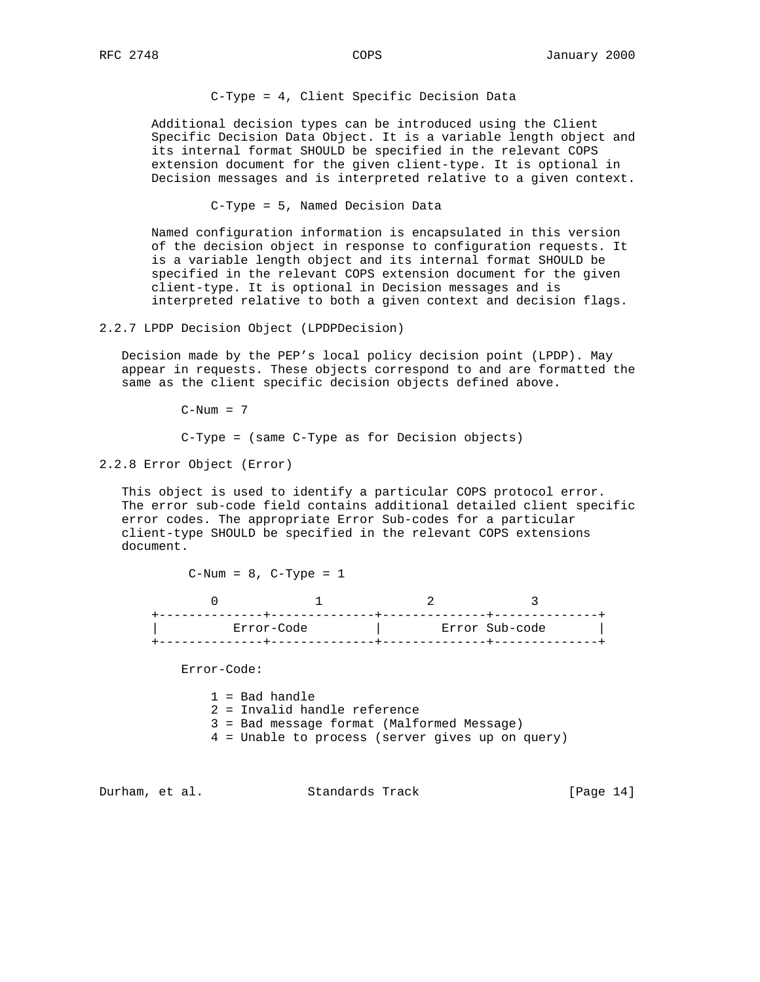C-Type = 4, Client Specific Decision Data

 Additional decision types can be introduced using the Client Specific Decision Data Object. It is a variable length object and its internal format SHOULD be specified in the relevant COPS extension document for the given client-type. It is optional in Decision messages and is interpreted relative to a given context.

C-Type = 5, Named Decision Data

 Named configuration information is encapsulated in this version of the decision object in response to configuration requests. It is a variable length object and its internal format SHOULD be specified in the relevant COPS extension document for the given client-type. It is optional in Decision messages and is interpreted relative to both a given context and decision flags.

2.2.7 LPDP Decision Object (LPDPDecision)

 Decision made by the PEP's local policy decision point (LPDP). May appear in requests. These objects correspond to and are formatted the same as the client specific decision objects defined above.

 $C-Num = 7$ 

C-Type = (same C-Type as for Decision objects)

2.2.8 Error Object (Error)

 This object is used to identify a particular COPS protocol error. The error sub-code field contains additional detailed client specific error codes. The appropriate Error Sub-codes for a particular client-type SHOULD be specified in the relevant COPS extensions document.

 $C-Num = 8$ ,  $C-Type = 1$ 

| Error-Code | Error Sub-code |
|------------|----------------|
|            |                |

Error-Code:

 1 = Bad handle 2 = Invalid handle reference 3 = Bad message format (Malformed Message) 4 = Unable to process (server gives up on query)

Durham, et al. Standards Track [Page 14]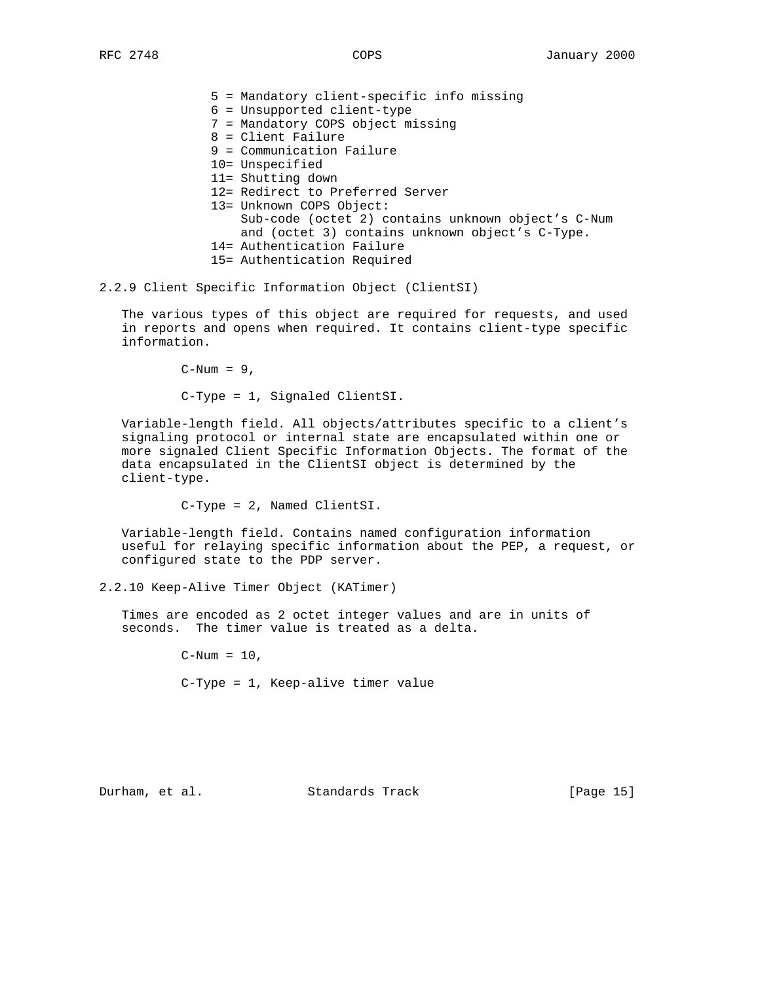| 5 = Mandatory client-specific info missing         |
|----------------------------------------------------|
| $6$ = Unsupported client-type                      |
| 7 = Mandatory COPS object missing                  |
| 8 = Client Failure                                 |
| 9 = Communication Failure                          |
| 10= Unspecified                                    |
| 11= Shutting down                                  |
| 12= Redirect to Preferred Server                   |
| 13= Unknown COPS Object:                           |
| Sub-code (octet 2) contains unknown object's C-Num |
| and (octet 3) contains unknown object's C-Type.    |
| 14= Authentication Failure                         |
| 15= Authentication Required                        |

2.2.9 Client Specific Information Object (ClientSI)

 The various types of this object are required for requests, and used in reports and opens when required. It contains client-type specific information.

 $C-Num = 9$ ,

C-Type = 1, Signaled ClientSI.

 Variable-length field. All objects/attributes specific to a client's signaling protocol or internal state are encapsulated within one or more signaled Client Specific Information Objects. The format of the data encapsulated in the ClientSI object is determined by the client-type.

C-Type = 2, Named ClientSI.

 Variable-length field. Contains named configuration information useful for relaying specific information about the PEP, a request, or configured state to the PDP server.

2.2.10 Keep-Alive Timer Object (KATimer)

 Times are encoded as 2 octet integer values and are in units of seconds. The timer value is treated as a delta.

> $C-Num = 10$ , C-Type = 1, Keep-alive timer value

Durham, et al. Standards Track [Page 15]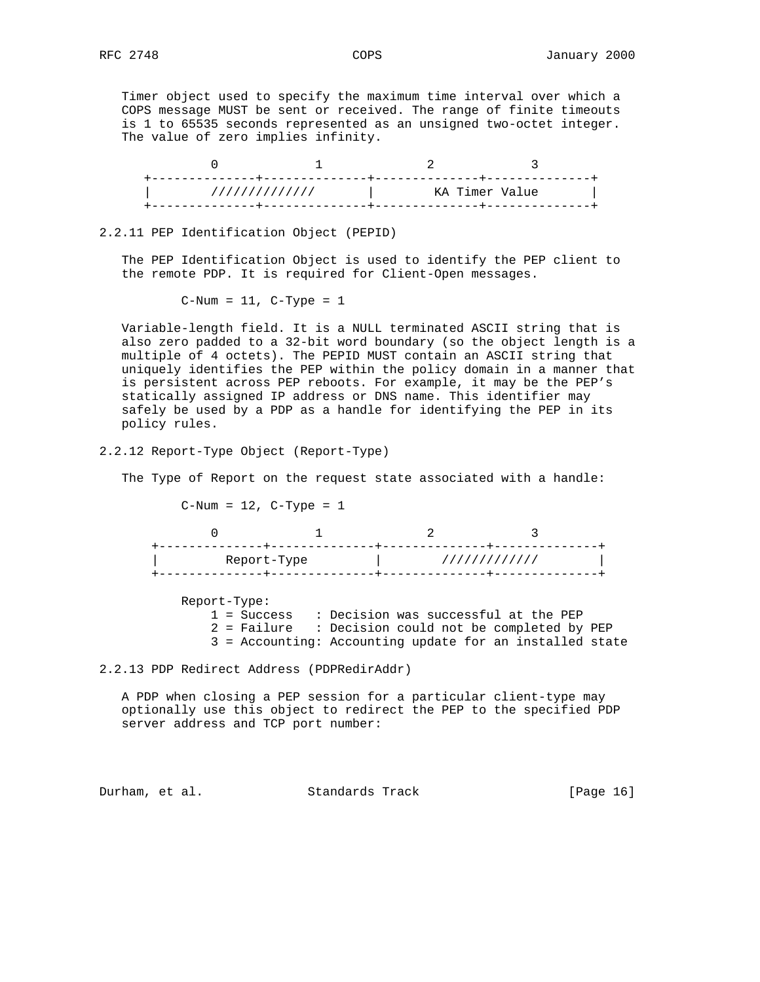Timer object used to specify the maximum time interval over which a COPS message MUST be sent or received. The range of finite timeouts is 1 to 65535 seconds represented as an unsigned two-octet integer. The value of zero implies infinity.

| ////////////// | KA Timer Value |  |
|----------------|----------------|--|
|                |                |  |

#### 2.2.11 PEP Identification Object (PEPID)

 The PEP Identification Object is used to identify the PEP client to the remote PDP. It is required for Client-Open messages.

 $C-Num = 11$ ,  $C-Type = 1$ 

 Variable-length field. It is a NULL terminated ASCII string that is also zero padded to a 32-bit word boundary (so the object length is a multiple of 4 octets). The PEPID MUST contain an ASCII string that uniquely identifies the PEP within the policy domain in a manner that is persistent across PEP reboots. For example, it may be the PEP's statically assigned IP address or DNS name. This identifier may safely be used by a PDP as a handle for identifying the PEP in its policy rules.

2.2.12 Report-Type Object (Report-Type)

The Type of Report on the request state associated with a handle:

 $C-Num = 12$ ,  $C-Type = 1$ 

| Report-Type |  | ///////////// |  |
|-------------|--|---------------|--|
|             |  |               |  |

 Report-Type: 1 = Success : Decision was successful at the PEP 2 = Failure : Decision could not be completed by PEP 3 = Accounting: Accounting update for an installed state

#### 2.2.13 PDP Redirect Address (PDPRedirAddr)

 A PDP when closing a PEP session for a particular client-type may optionally use this object to redirect the PEP to the specified PDP server address and TCP port number:

Durham, et al. Standards Track [Page 16]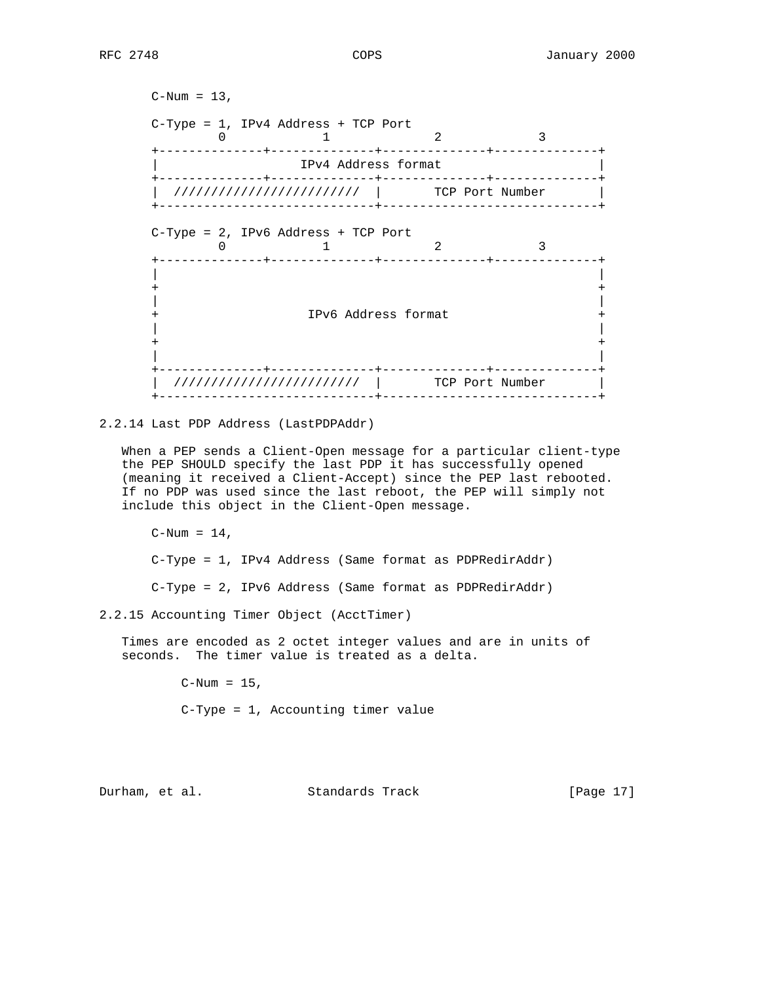```
C-Num = 13,
 C-Type = 1, IPv4 Address + TCP Port
0 1 2 3
    +--------------+--------------+--------------+--------------+
     IPv4 Address format
    +--------------+--------------+--------------+--------------+
    | ///////////////////////// | TCP Port Number |
     +-----------------------------+-----------------------------+
 C-Type = 2, IPv6 Address + TCP Port
0 1 2 3
       +--------------+--------------+--------------+--------------+
 | |
 + +
 | |
    + IPv6 Address format +
 | |
 + +
 | |
        +--------------+--------------+--------------+--------------+
    | ///////////////////////// | TCP Port Number |
      +-----------------------------+-----------------------------+
```
#### 2.2.14 Last PDP Address (LastPDPAddr)

 When a PEP sends a Client-Open message for a particular client-type the PEP SHOULD specify the last PDP it has successfully opened (meaning it received a Client-Accept) since the PEP last rebooted. If no PDP was used since the last reboot, the PEP will simply not include this object in the Client-Open message.

 $C-Num = 14$ ,

C-Type = 1, IPv4 Address (Same format as PDPRedirAddr)

C-Type = 2, IPv6 Address (Same format as PDPRedirAddr)

2.2.15 Accounting Timer Object (AcctTimer)

 Times are encoded as 2 octet integer values and are in units of seconds. The timer value is treated as a delta.

 $C-Num = 15$ ,

C-Type = 1, Accounting timer value

Durham, et al. Standards Track [Page 17]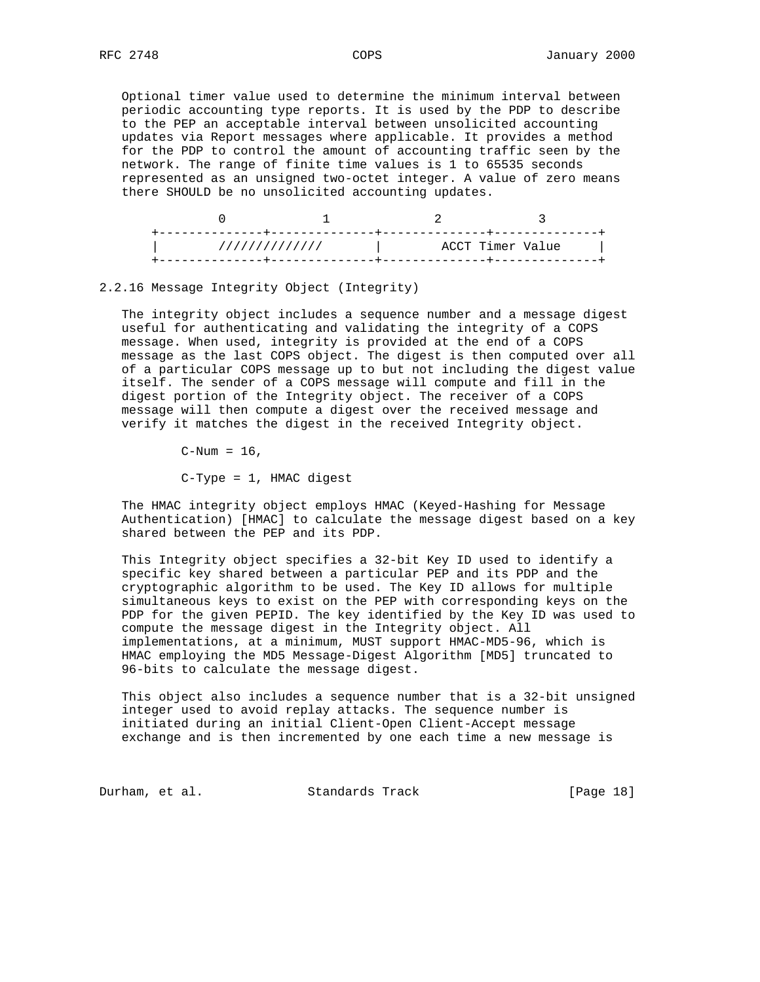Optional timer value used to determine the minimum interval between periodic accounting type reports. It is used by the PDP to describe to the PEP an acceptable interval between unsolicited accounting updates via Report messages where applicable. It provides a method for the PDP to control the amount of accounting traffic seen by the network. The range of finite time values is 1 to 65535 seconds represented as an unsigned two-octet integer. A value of zero means there SHOULD be no unsolicited accounting updates.

| ACCT Timer Value<br>//////////////<br>$\mathcal{A}$ and $\mathcal{A}$ |  |  |
|-----------------------------------------------------------------------|--|--|
|                                                                       |  |  |

## 2.2.16 Message Integrity Object (Integrity)

 The integrity object includes a sequence number and a message digest useful for authenticating and validating the integrity of a COPS message. When used, integrity is provided at the end of a COPS message as the last COPS object. The digest is then computed over all of a particular COPS message up to but not including the digest value itself. The sender of a COPS message will compute and fill in the digest portion of the Integrity object. The receiver of a COPS message will then compute a digest over the received message and verify it matches the digest in the received Integrity object.

 $C-Num = 16$ ,

C-Type = 1, HMAC digest

 The HMAC integrity object employs HMAC (Keyed-Hashing for Message Authentication) [HMAC] to calculate the message digest based on a key shared between the PEP and its PDP.

 This Integrity object specifies a 32-bit Key ID used to identify a specific key shared between a particular PEP and its PDP and the cryptographic algorithm to be used. The Key ID allows for multiple simultaneous keys to exist on the PEP with corresponding keys on the PDP for the given PEPID. The key identified by the Key ID was used to compute the message digest in the Integrity object. All implementations, at a minimum, MUST support HMAC-MD5-96, which is HMAC employing the MD5 Message-Digest Algorithm [MD5] truncated to 96-bits to calculate the message digest.

 This object also includes a sequence number that is a 32-bit unsigned integer used to avoid replay attacks. The sequence number is initiated during an initial Client-Open Client-Accept message exchange and is then incremented by one each time a new message is

Durham, et al. Standards Track [Page 18]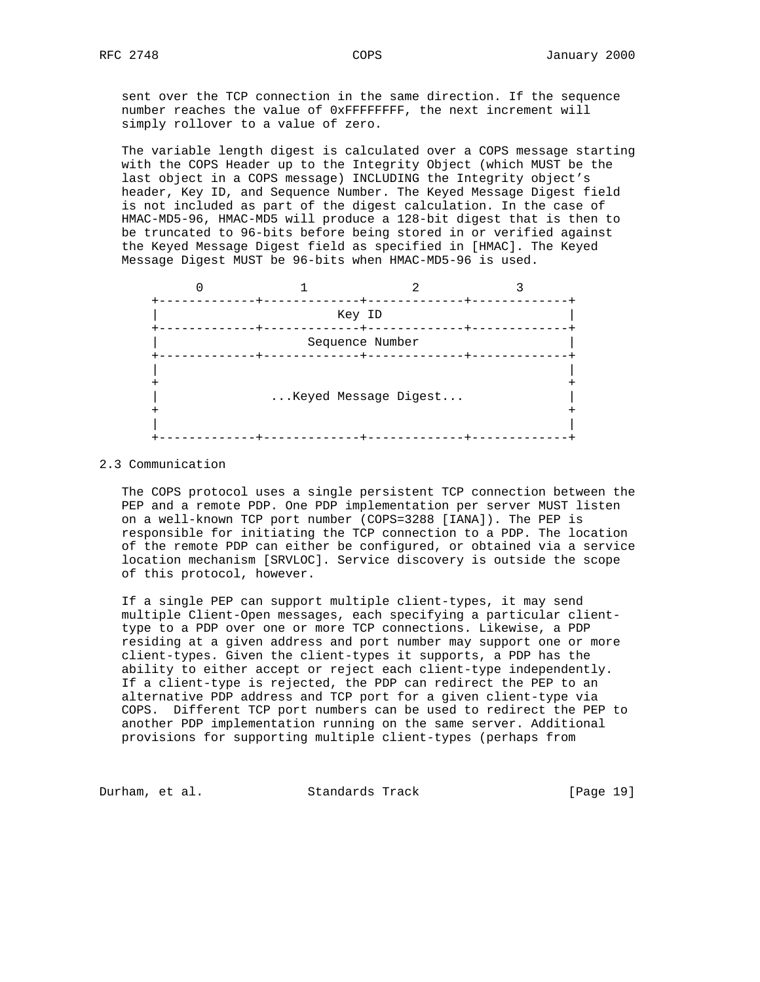sent over the TCP connection in the same direction. If the sequence number reaches the value of 0xFFFFFFFF, the next increment will simply rollover to a value of zero.

 The variable length digest is calculated over a COPS message starting with the COPS Header up to the Integrity Object (which MUST be the last object in a COPS message) INCLUDING the Integrity object's header, Key ID, and Sequence Number. The Keyed Message Digest field is not included as part of the digest calculation. In the case of HMAC-MD5-96, HMAC-MD5 will produce a 128-bit digest that is then to be truncated to 96-bits before being stored in or verified against the Keyed Message Digest field as specified in [HMAC]. The Keyed Message Digest MUST be 96-bits when HMAC-MD5-96 is used.



#### 2.3 Communication

 The COPS protocol uses a single persistent TCP connection between the PEP and a remote PDP. One PDP implementation per server MUST listen on a well-known TCP port number (COPS=3288 [IANA]). The PEP is responsible for initiating the TCP connection to a PDP. The location of the remote PDP can either be configured, or obtained via a service location mechanism [SRVLOC]. Service discovery is outside the scope of this protocol, however.

 If a single PEP can support multiple client-types, it may send multiple Client-Open messages, each specifying a particular client type to a PDP over one or more TCP connections. Likewise, a PDP residing at a given address and port number may support one or more client-types. Given the client-types it supports, a PDP has the ability to either accept or reject each client-type independently. If a client-type is rejected, the PDP can redirect the PEP to an alternative PDP address and TCP port for a given client-type via COPS. Different TCP port numbers can be used to redirect the PEP to another PDP implementation running on the same server. Additional provisions for supporting multiple client-types (perhaps from

Durham, et al. Standards Track [Page 19]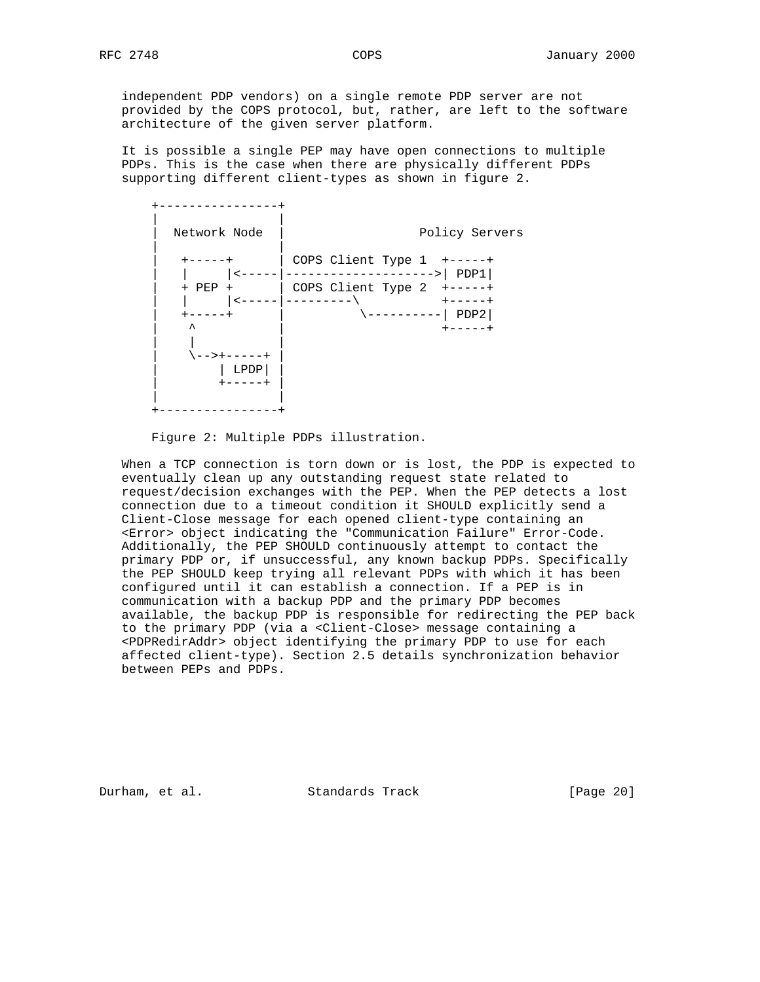independent PDP vendors) on a single remote PDP server are not provided by the COPS protocol, but, rather, are left to the software architecture of the given server platform.

 It is possible a single PEP may have open connections to multiple PDPs. This is the case when there are physically different PDPs supporting different client-types as shown in figure 2.



Figure 2: Multiple PDPs illustration.

 When a TCP connection is torn down or is lost, the PDP is expected to eventually clean up any outstanding request state related to request/decision exchanges with the PEP. When the PEP detects a lost connection due to a timeout condition it SHOULD explicitly send a Client-Close message for each opened client-type containing an <Error> object indicating the "Communication Failure" Error-Code. Additionally, the PEP SHOULD continuously attempt to contact the primary PDP or, if unsuccessful, any known backup PDPs. Specifically the PEP SHOULD keep trying all relevant PDPs with which it has been configured until it can establish a connection. If a PEP is in communication with a backup PDP and the primary PDP becomes available, the backup PDP is responsible for redirecting the PEP back to the primary PDP (via a <Client-Close> message containing a <PDPRedirAddr> object identifying the primary PDP to use for each affected client-type). Section 2.5 details synchronization behavior between PEPs and PDPs.

Durham, et al. Standards Track [Page 20]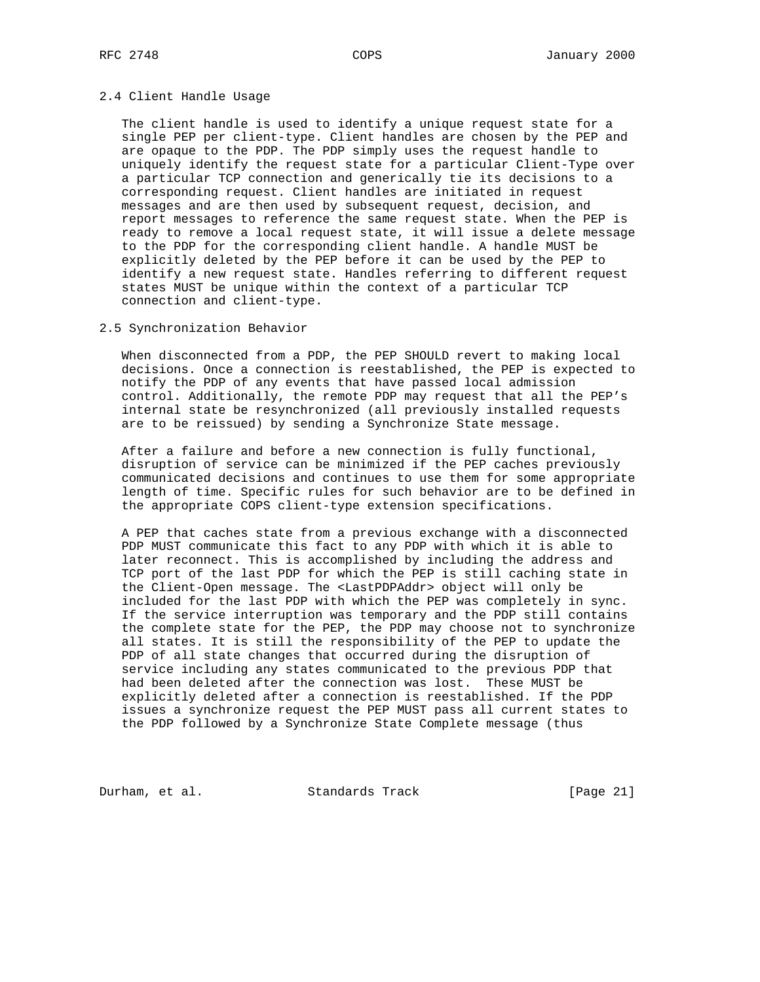### 2.4 Client Handle Usage

 The client handle is used to identify a unique request state for a single PEP per client-type. Client handles are chosen by the PEP and are opaque to the PDP. The PDP simply uses the request handle to uniquely identify the request state for a particular Client-Type over a particular TCP connection and generically tie its decisions to a corresponding request. Client handles are initiated in request messages and are then used by subsequent request, decision, and report messages to reference the same request state. When the PEP is ready to remove a local request state, it will issue a delete message to the PDP for the corresponding client handle. A handle MUST be explicitly deleted by the PEP before it can be used by the PEP to identify a new request state. Handles referring to different request states MUST be unique within the context of a particular TCP connection and client-type.

## 2.5 Synchronization Behavior

 When disconnected from a PDP, the PEP SHOULD revert to making local decisions. Once a connection is reestablished, the PEP is expected to notify the PDP of any events that have passed local admission control. Additionally, the remote PDP may request that all the PEP's internal state be resynchronized (all previously installed requests are to be reissued) by sending a Synchronize State message.

 After a failure and before a new connection is fully functional, disruption of service can be minimized if the PEP caches previously communicated decisions and continues to use them for some appropriate length of time. Specific rules for such behavior are to be defined in the appropriate COPS client-type extension specifications.

 A PEP that caches state from a previous exchange with a disconnected PDP MUST communicate this fact to any PDP with which it is able to later reconnect. This is accomplished by including the address and TCP port of the last PDP for which the PEP is still caching state in the Client-Open message. The <LastPDPAddr> object will only be included for the last PDP with which the PEP was completely in sync. If the service interruption was temporary and the PDP still contains the complete state for the PEP, the PDP may choose not to synchronize all states. It is still the responsibility of the PEP to update the PDP of all state changes that occurred during the disruption of service including any states communicated to the previous PDP that had been deleted after the connection was lost. These MUST be explicitly deleted after a connection is reestablished. If the PDP issues a synchronize request the PEP MUST pass all current states to the PDP followed by a Synchronize State Complete message (thus

Durham, et al. Standards Track [Page 21]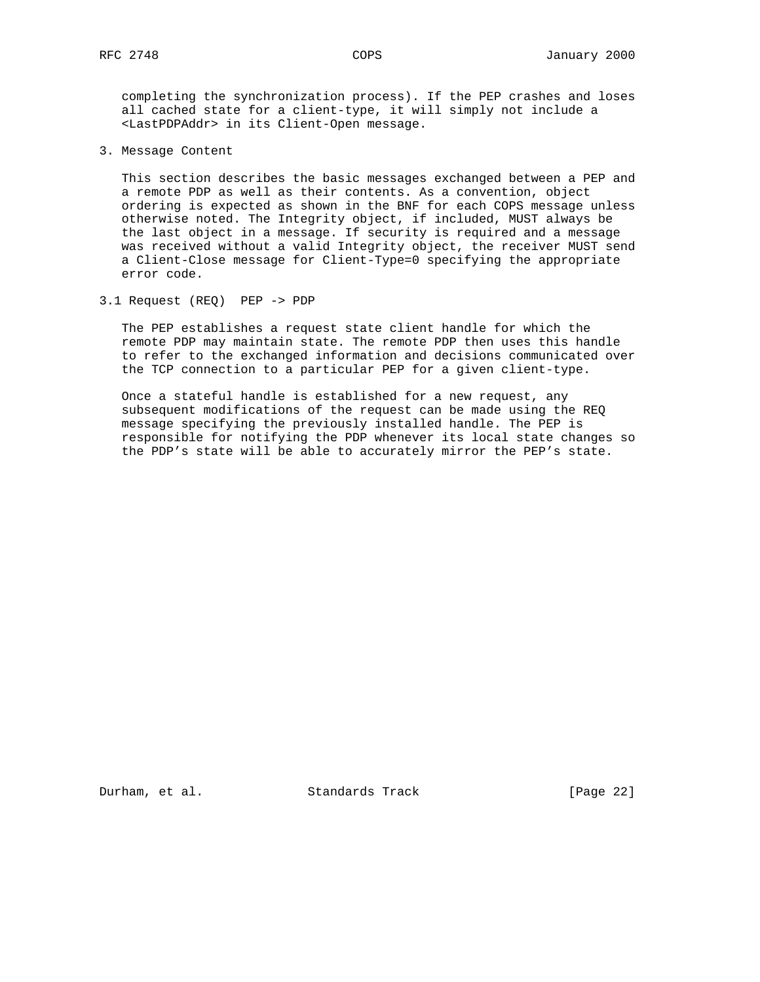completing the synchronization process). If the PEP crashes and loses all cached state for a client-type, it will simply not include a <LastPDPAddr> in its Client-Open message.

3. Message Content

 This section describes the basic messages exchanged between a PEP and a remote PDP as well as their contents. As a convention, object ordering is expected as shown in the BNF for each COPS message unless otherwise noted. The Integrity object, if included, MUST always be the last object in a message. If security is required and a message was received without a valid Integrity object, the receiver MUST send a Client-Close message for Client-Type=0 specifying the appropriate error code.

3.1 Request (REQ) PEP -> PDP

 The PEP establishes a request state client handle for which the remote PDP may maintain state. The remote PDP then uses this handle to refer to the exchanged information and decisions communicated over the TCP connection to a particular PEP for a given client-type.

 Once a stateful handle is established for a new request, any subsequent modifications of the request can be made using the REQ message specifying the previously installed handle. The PEP is responsible for notifying the PDP whenever its local state changes so the PDP's state will be able to accurately mirror the PEP's state.

Durham, et al. Standards Track [Page 22]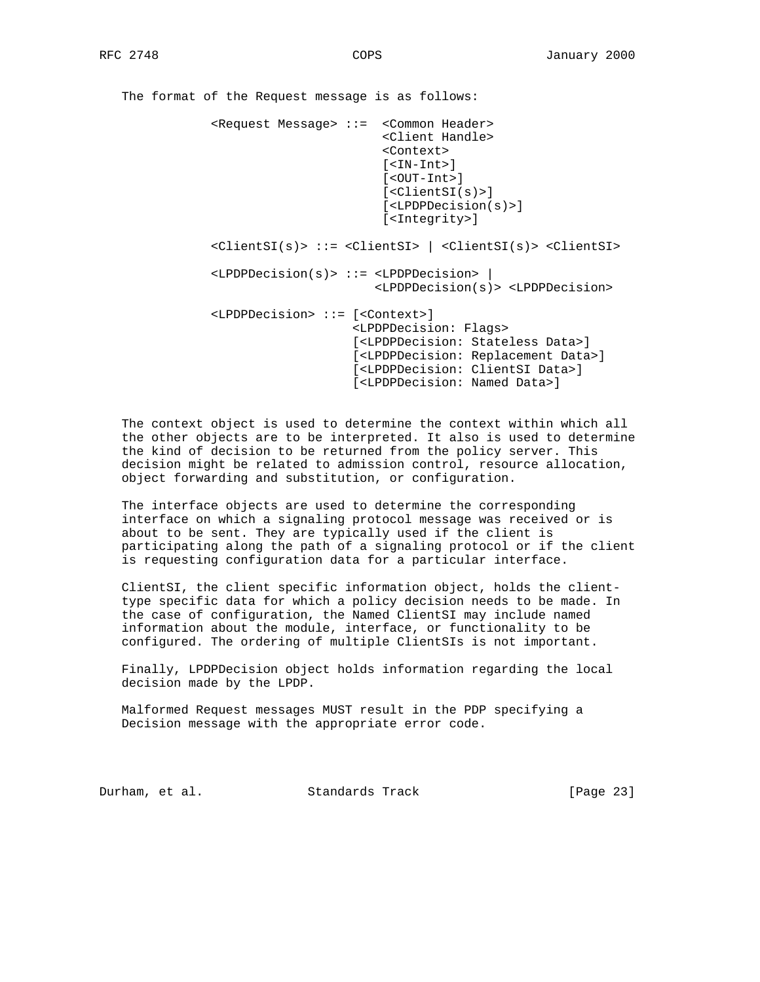The format of the Request message is as follows: <Request Message> ::= <Common Header> <Client Handle> <Context> [<IN-Int>] [<OUT-Int>] [<ClientSI(s)>] [<LPDPDecision(s)>] [<Integrity>] <ClientSI(s)> ::= <ClientSI> | <ClientSI(s)> <ClientSI> <LPDPDecision(s)> ::= <LPDPDecision> | <LPDPDecision(s)> <LPDPDecision> <LPDPDecision> ::= [<Context>] <LPDPDecision: Flags> [<LPDPDecision: Stateless Data>] [<LPDPDecision: Replacement Data>] [<LPDPDecision: ClientSI Data>] [<LPDPDecision: Named Data>]

 The context object is used to determine the context within which all the other objects are to be interpreted. It also is used to determine the kind of decision to be returned from the policy server. This decision might be related to admission control, resource allocation, object forwarding and substitution, or configuration.

 The interface objects are used to determine the corresponding interface on which a signaling protocol message was received or is about to be sent. They are typically used if the client is participating along the path of a signaling protocol or if the client is requesting configuration data for a particular interface.

 ClientSI, the client specific information object, holds the client type specific data for which a policy decision needs to be made. In the case of configuration, the Named ClientSI may include named information about the module, interface, or functionality to be configured. The ordering of multiple ClientSIs is not important.

 Finally, LPDPDecision object holds information regarding the local decision made by the LPDP.

 Malformed Request messages MUST result in the PDP specifying a Decision message with the appropriate error code.

Durham, et al. Standards Track [Page 23]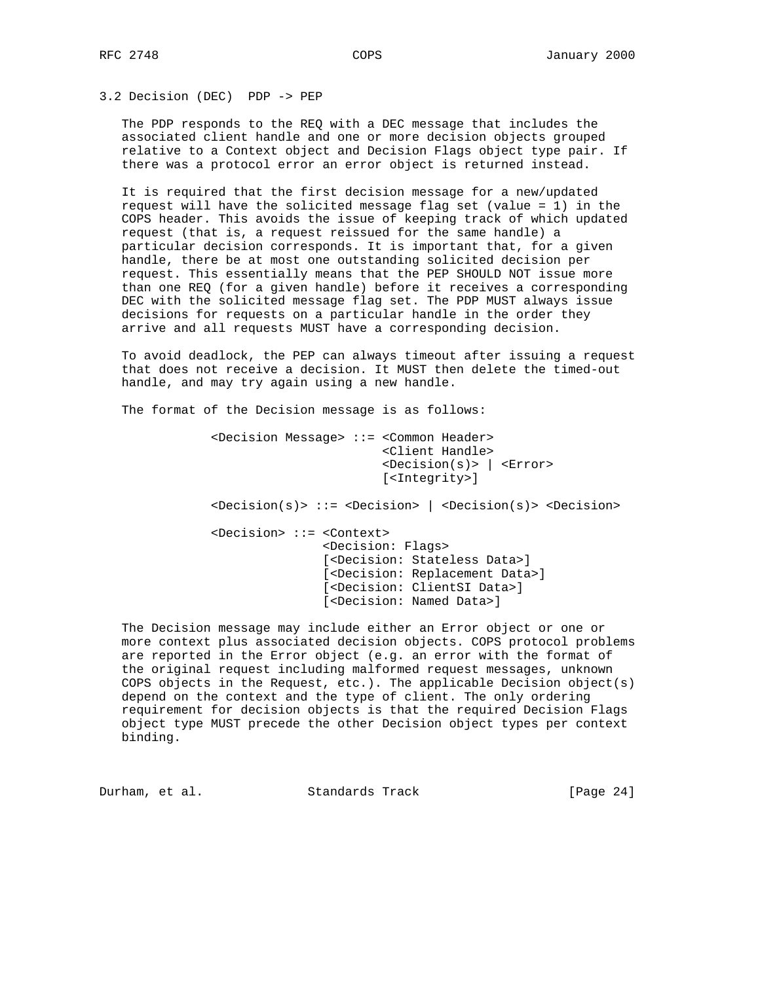# 3.2 Decision (DEC) PDP -> PEP

 The PDP responds to the REQ with a DEC message that includes the associated client handle and one or more decision objects grouped relative to a Context object and Decision Flags object type pair. If there was a protocol error an error object is returned instead.

 It is required that the first decision message for a new/updated request will have the solicited message flag set (value = 1) in the COPS header. This avoids the issue of keeping track of which updated request (that is, a request reissued for the same handle) a particular decision corresponds. It is important that, for a given handle, there be at most one outstanding solicited decision per request. This essentially means that the PEP SHOULD NOT issue more than one REQ (for a given handle) before it receives a corresponding DEC with the solicited message flag set. The PDP MUST always issue decisions for requests on a particular handle in the order they arrive and all requests MUST have a corresponding decision.

 To avoid deadlock, the PEP can always timeout after issuing a request that does not receive a decision. It MUST then delete the timed-out handle, and may try again using a new handle.

The format of the Decision message is as follows:

 <Decision Message> ::= <Common Header> <Client Handle> <Decision(s)> | <Error> [<Integrity>] <Decision(s)> ::= <Decision> | <Decision(s)> <Decision> <Decision> ::= <Context> <Decision: Flags> [<Decision: Stateless Data>] [<Decision: Replacement Data>] [<Decision: ClientSI Data>] [<Decision: Named Data>]

 The Decision message may include either an Error object or one or more context plus associated decision objects. COPS protocol problems are reported in the Error object (e.g. an error with the format of the original request including malformed request messages, unknown COPS objects in the Request, etc.). The applicable Decision object(s) depend on the context and the type of client. The only ordering requirement for decision objects is that the required Decision Flags object type MUST precede the other Decision object types per context binding.

Durham, et al. Standards Track [Page 24]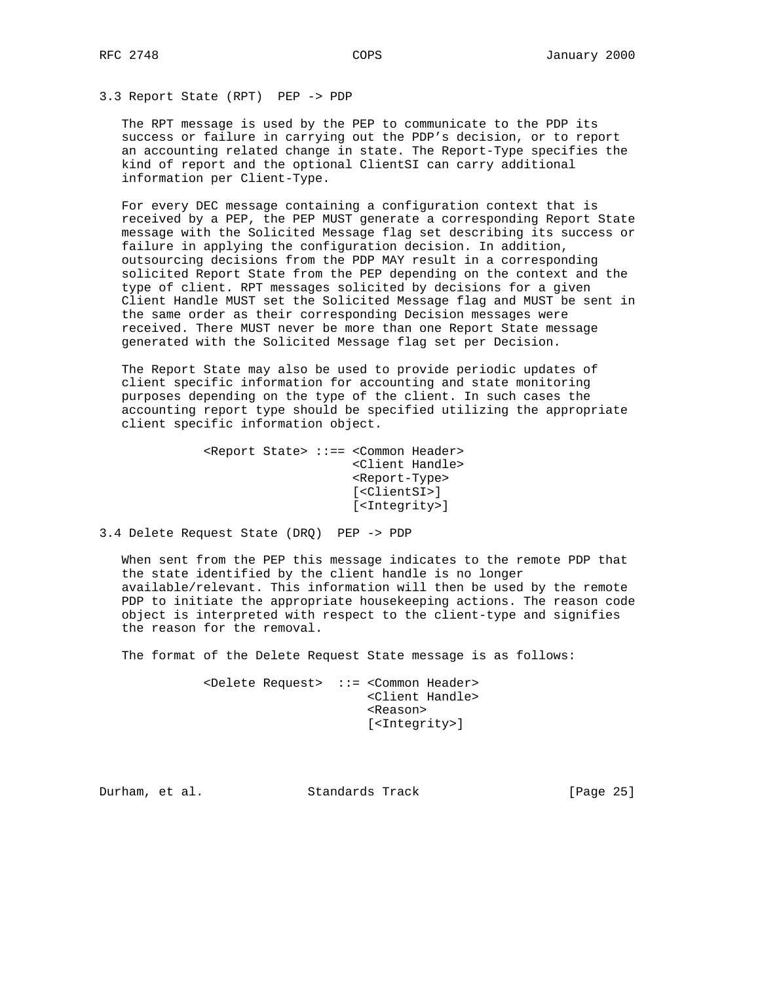## 3.3 Report State (RPT) PEP -> PDP

 The RPT message is used by the PEP to communicate to the PDP its success or failure in carrying out the PDP's decision, or to report an accounting related change in state. The Report-Type specifies the kind of report and the optional ClientSI can carry additional information per Client-Type.

 For every DEC message containing a configuration context that is received by a PEP, the PEP MUST generate a corresponding Report State message with the Solicited Message flag set describing its success or failure in applying the configuration decision. In addition, outsourcing decisions from the PDP MAY result in a corresponding solicited Report State from the PEP depending on the context and the type of client. RPT messages solicited by decisions for a given Client Handle MUST set the Solicited Message flag and MUST be sent in the same order as their corresponding Decision messages were received. There MUST never be more than one Report State message generated with the Solicited Message flag set per Decision.

 The Report State may also be used to provide periodic updates of client specific information for accounting and state monitoring purposes depending on the type of the client. In such cases the accounting report type should be specified utilizing the appropriate client specific information object.

```
 <Report State> ::== <Common Header>
                      <Client Handle>
                      <Report-Type>
                      [<ClientSI>]
                      [<Integrity>]
```
3.4 Delete Request State (DRQ) PEP -> PDP

 When sent from the PEP this message indicates to the remote PDP that the state identified by the client handle is no longer available/relevant. This information will then be used by the remote PDP to initiate the appropriate housekeeping actions. The reason code object is interpreted with respect to the client-type and signifies the reason for the removal.

The format of the Delete Request State message is as follows:

 <Delete Request> ::= <Common Header> <Client Handle> <Reason> [<Integrity>]

Durham, et al. Standards Track [Page 25]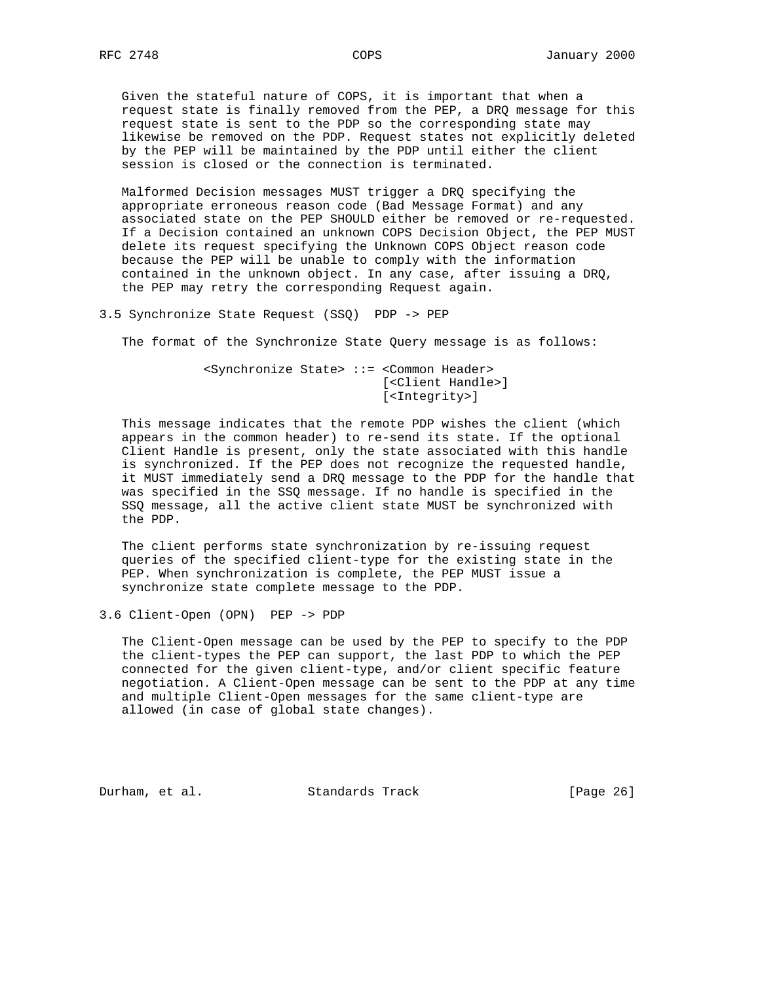Given the stateful nature of COPS, it is important that when a request state is finally removed from the PEP, a DRQ message for this request state is sent to the PDP so the corresponding state may likewise be removed on the PDP. Request states not explicitly deleted by the PEP will be maintained by the PDP until either the client session is closed or the connection is terminated.

 Malformed Decision messages MUST trigger a DRQ specifying the appropriate erroneous reason code (Bad Message Format) and any associated state on the PEP SHOULD either be removed or re-requested. If a Decision contained an unknown COPS Decision Object, the PEP MUST delete its request specifying the Unknown COPS Object reason code because the PEP will be unable to comply with the information contained in the unknown object. In any case, after issuing a DRQ, the PEP may retry the corresponding Request again.

3.5 Synchronize State Request (SSQ) PDP -> PEP

The format of the Synchronize State Query message is as follows:

 <Synchronize State> ::= <Common Header> [<Client Handle>] [<Integrity>]

 This message indicates that the remote PDP wishes the client (which appears in the common header) to re-send its state. If the optional Client Handle is present, only the state associated with this handle is synchronized. If the PEP does not recognize the requested handle, it MUST immediately send a DRQ message to the PDP for the handle that was specified in the SSQ message. If no handle is specified in the SSQ message, all the active client state MUST be synchronized with the PDP.

 The client performs state synchronization by re-issuing request queries of the specified client-type for the existing state in the PEP. When synchronization is complete, the PEP MUST issue a synchronize state complete message to the PDP.

3.6 Client-Open (OPN) PEP -> PDP

 The Client-Open message can be used by the PEP to specify to the PDP the client-types the PEP can support, the last PDP to which the PEP connected for the given client-type, and/or client specific feature negotiation. A Client-Open message can be sent to the PDP at any time and multiple Client-Open messages for the same client-type are allowed (in case of global state changes).

Durham, et al. Standards Track [Page 26]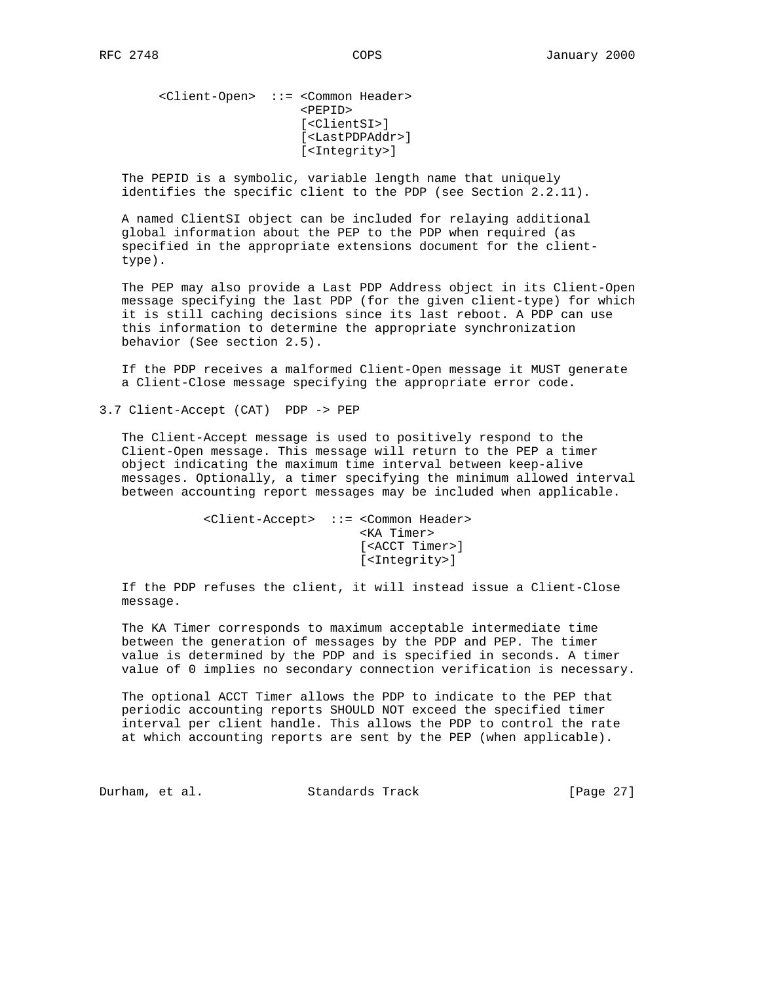<Client-Open> ::= <Common Header> <PEPID> [<ClientSI>] [<LastPDPAddr>] [<Integrity>]

 The PEPID is a symbolic, variable length name that uniquely identifies the specific client to the PDP (see Section 2.2.11).

 A named ClientSI object can be included for relaying additional global information about the PEP to the PDP when required (as specified in the appropriate extensions document for the client type).

 The PEP may also provide a Last PDP Address object in its Client-Open message specifying the last PDP (for the given client-type) for which it is still caching decisions since its last reboot. A PDP can use this information to determine the appropriate synchronization behavior (See section 2.5).

 If the PDP receives a malformed Client-Open message it MUST generate a Client-Close message specifying the appropriate error code.

3.7 Client-Accept (CAT) PDP -> PEP

 The Client-Accept message is used to positively respond to the Client-Open message. This message will return to the PEP a timer object indicating the maximum time interval between keep-alive messages. Optionally, a timer specifying the minimum allowed interval between accounting report messages may be included when applicable.

> <Client-Accept> ::= <Common Header> <KA Timer> [<ACCT Timer>] [<Integrity>]

 If the PDP refuses the client, it will instead issue a Client-Close message.

 The KA Timer corresponds to maximum acceptable intermediate time between the generation of messages by the PDP and PEP. The timer value is determined by the PDP and is specified in seconds. A timer value of 0 implies no secondary connection verification is necessary.

 The optional ACCT Timer allows the PDP to indicate to the PEP that periodic accounting reports SHOULD NOT exceed the specified timer interval per client handle. This allows the PDP to control the rate at which accounting reports are sent by the PEP (when applicable).

Durham, et al. Standards Track [Page 27]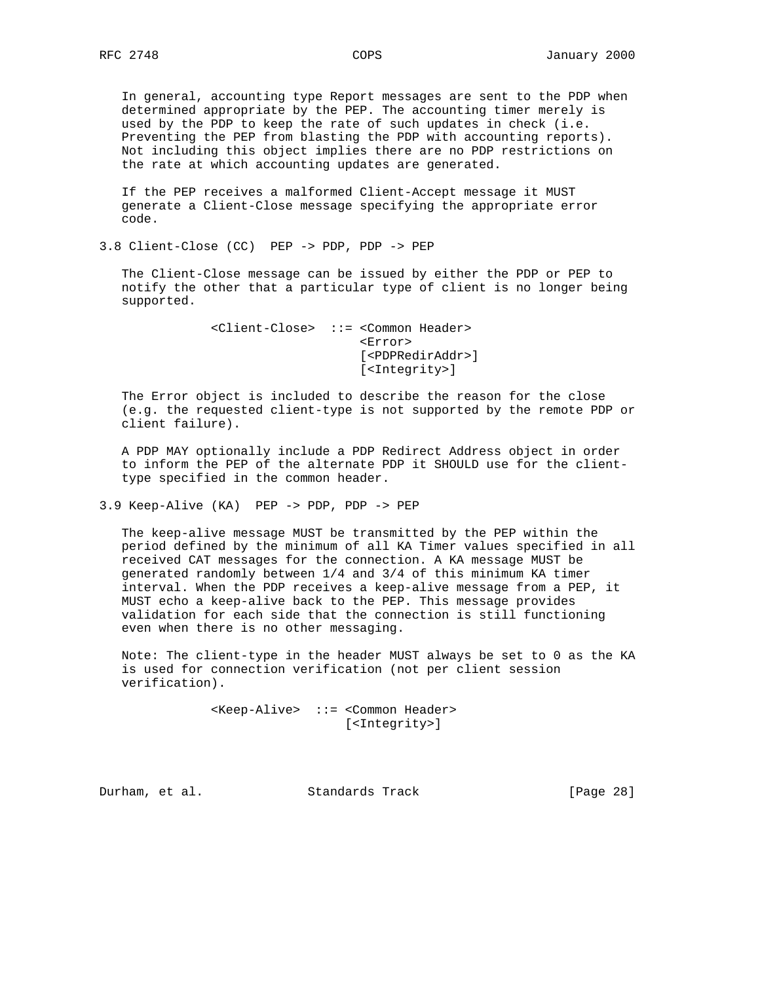In general, accounting type Report messages are sent to the PDP when determined appropriate by the PEP. The accounting timer merely is used by the PDP to keep the rate of such updates in check (i.e. Preventing the PEP from blasting the PDP with accounting reports). Not including this object implies there are no PDP restrictions on the rate at which accounting updates are generated.

 If the PEP receives a malformed Client-Accept message it MUST generate a Client-Close message specifying the appropriate error code.

3.8 Client-Close (CC) PEP -> PDP, PDP -> PEP

 The Client-Close message can be issued by either the PDP or PEP to notify the other that a particular type of client is no longer being supported.

> <Client-Close> ::= <Common Header> <Error> [<PDPRedirAddr>] [<Integrity>]

 The Error object is included to describe the reason for the close (e.g. the requested client-type is not supported by the remote PDP or client failure).

 A PDP MAY optionally include a PDP Redirect Address object in order to inform the PEP of the alternate PDP it SHOULD use for the client type specified in the common header.

3.9 Keep-Alive (KA) PEP -> PDP, PDP -> PEP

 The keep-alive message MUST be transmitted by the PEP within the period defined by the minimum of all KA Timer values specified in all received CAT messages for the connection. A KA message MUST be generated randomly between 1/4 and 3/4 of this minimum KA timer interval. When the PDP receives a keep-alive message from a PEP, it MUST echo a keep-alive back to the PEP. This message provides validation for each side that the connection is still functioning even when there is no other messaging.

 Note: The client-type in the header MUST always be set to 0 as the KA is used for connection verification (not per client session verification).

> <Keep-Alive> ::= <Common Header> [<Integrity>]

Durham, et al. Standards Track [Page 28]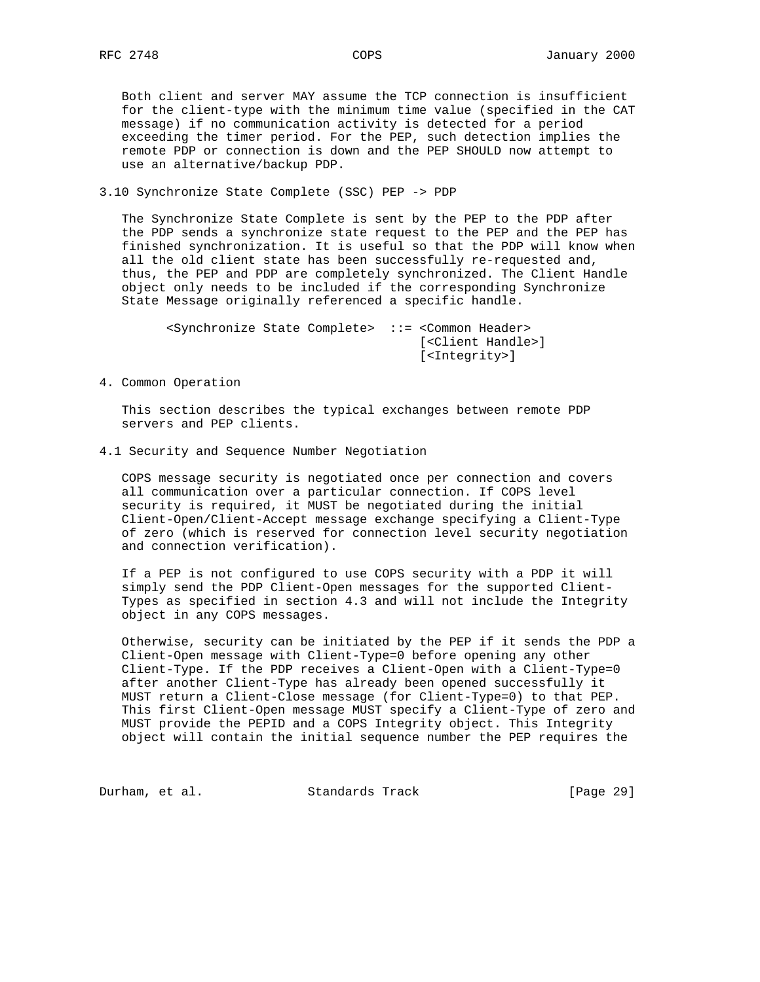Both client and server MAY assume the TCP connection is insufficient for the client-type with the minimum time value (specified in the CAT message) if no communication activity is detected for a period exceeding the timer period. For the PEP, such detection implies the remote PDP or connection is down and the PEP SHOULD now attempt to use an alternative/backup PDP.

3.10 Synchronize State Complete (SSC) PEP -> PDP

 The Synchronize State Complete is sent by the PEP to the PDP after the PDP sends a synchronize state request to the PEP and the PEP has finished synchronization. It is useful so that the PDP will know when all the old client state has been successfully re-requested and, thus, the PEP and PDP are completely synchronized. The Client Handle object only needs to be included if the corresponding Synchronize State Message originally referenced a specific handle.

 <Synchronize State Complete> ::= <Common Header> [<Client Handle>] [<Integrity>]

4. Common Operation

 This section describes the typical exchanges between remote PDP servers and PEP clients.

4.1 Security and Sequence Number Negotiation

 COPS message security is negotiated once per connection and covers all communication over a particular connection. If COPS level security is required, it MUST be negotiated during the initial Client-Open/Client-Accept message exchange specifying a Client-Type of zero (which is reserved for connection level security negotiation and connection verification).

 If a PEP is not configured to use COPS security with a PDP it will simply send the PDP Client-Open messages for the supported Client- Types as specified in section 4.3 and will not include the Integrity object in any COPS messages.

 Otherwise, security can be initiated by the PEP if it sends the PDP a Client-Open message with Client-Type=0 before opening any other Client-Type. If the PDP receives a Client-Open with a Client-Type=0 after another Client-Type has already been opened successfully it MUST return a Client-Close message (for Client-Type=0) to that PEP. This first Client-Open message MUST specify a Client-Type of zero and MUST provide the PEPID and a COPS Integrity object. This Integrity object will contain the initial sequence number the PEP requires the

Durham, et al. Standards Track [Page 29]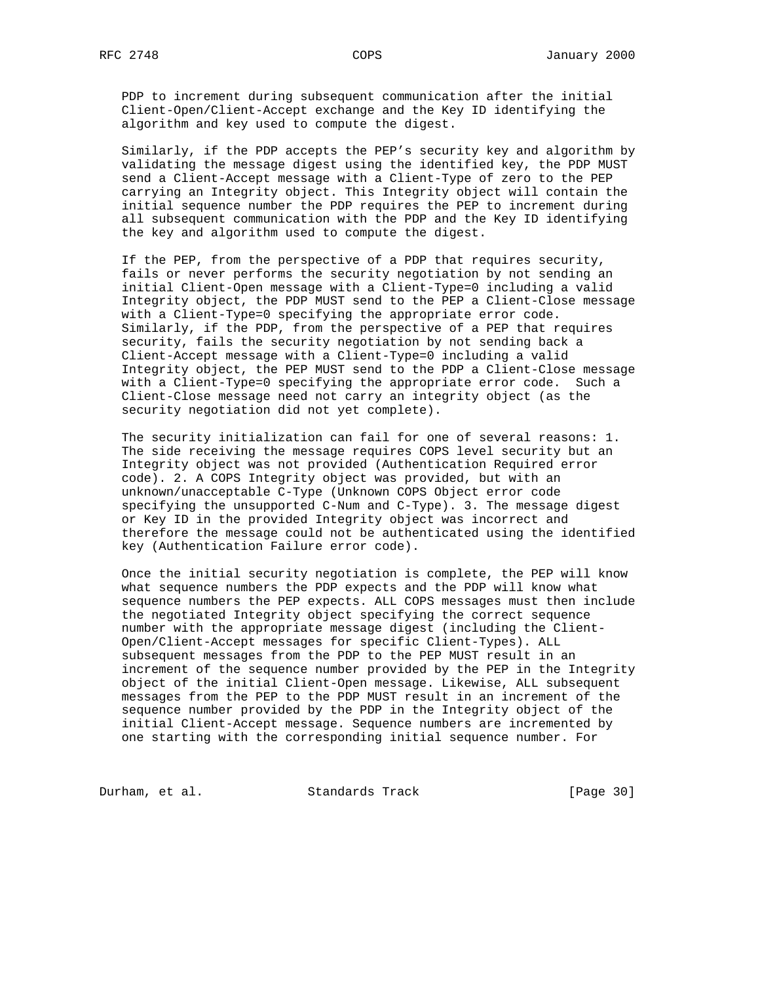PDP to increment during subsequent communication after the initial Client-Open/Client-Accept exchange and the Key ID identifying the algorithm and key used to compute the digest.

 Similarly, if the PDP accepts the PEP's security key and algorithm by validating the message digest using the identified key, the PDP MUST send a Client-Accept message with a Client-Type of zero to the PEP carrying an Integrity object. This Integrity object will contain the initial sequence number the PDP requires the PEP to increment during all subsequent communication with the PDP and the Key ID identifying the key and algorithm used to compute the digest.

 If the PEP, from the perspective of a PDP that requires security, fails or never performs the security negotiation by not sending an initial Client-Open message with a Client-Type=0 including a valid Integrity object, the PDP MUST send to the PEP a Client-Close message with a Client-Type=0 specifying the appropriate error code. Similarly, if the PDP, from the perspective of a PEP that requires security, fails the security negotiation by not sending back a Client-Accept message with a Client-Type=0 including a valid Integrity object, the PEP MUST send to the PDP a Client-Close message with a Client-Type=0 specifying the appropriate error code. Such a Client-Close message need not carry an integrity object (as the security negotiation did not yet complete).

 The security initialization can fail for one of several reasons: 1. The side receiving the message requires COPS level security but an Integrity object was not provided (Authentication Required error code). 2. A COPS Integrity object was provided, but with an unknown/unacceptable C-Type (Unknown COPS Object error code specifying the unsupported C-Num and C-Type). 3. The message digest or Key ID in the provided Integrity object was incorrect and therefore the message could not be authenticated using the identified key (Authentication Failure error code).

 Once the initial security negotiation is complete, the PEP will know what sequence numbers the PDP expects and the PDP will know what sequence numbers the PEP expects. ALL COPS messages must then include the negotiated Integrity object specifying the correct sequence number with the appropriate message digest (including the Client- Open/Client-Accept messages for specific Client-Types). ALL subsequent messages from the PDP to the PEP MUST result in an increment of the sequence number provided by the PEP in the Integrity object of the initial Client-Open message. Likewise, ALL subsequent messages from the PEP to the PDP MUST result in an increment of the sequence number provided by the PDP in the Integrity object of the initial Client-Accept message. Sequence numbers are incremented by one starting with the corresponding initial sequence number. For

Durham, et al. Standards Track [Page 30]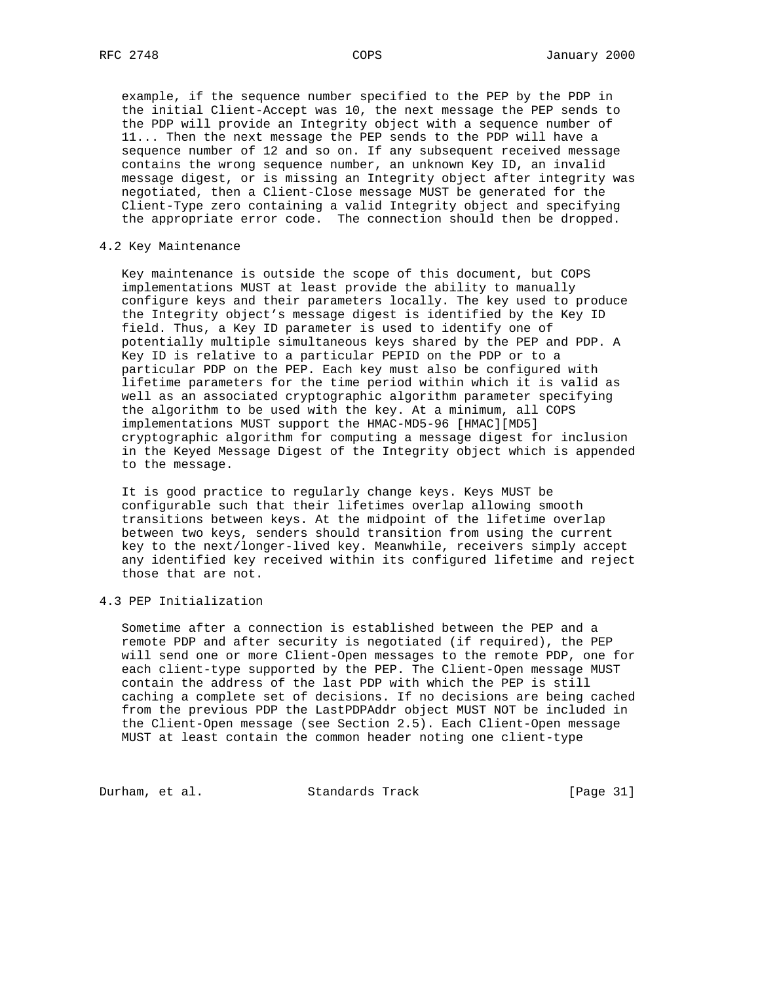example, if the sequence number specified to the PEP by the PDP in the initial Client-Accept was 10, the next message the PEP sends to the PDP will provide an Integrity object with a sequence number of 11... Then the next message the PEP sends to the PDP will have a sequence number of 12 and so on. If any subsequent received message contains the wrong sequence number, an unknown Key ID, an invalid message digest, or is missing an Integrity object after integrity was negotiated, then a Client-Close message MUST be generated for the Client-Type zero containing a valid Integrity object and specifying the appropriate error code. The connection should then be dropped.

## 4.2 Key Maintenance

 Key maintenance is outside the scope of this document, but COPS implementations MUST at least provide the ability to manually configure keys and their parameters locally. The key used to produce the Integrity object's message digest is identified by the Key ID field. Thus, a Key ID parameter is used to identify one of potentially multiple simultaneous keys shared by the PEP and PDP. A Key ID is relative to a particular PEPID on the PDP or to a particular PDP on the PEP. Each key must also be configured with lifetime parameters for the time period within which it is valid as well as an associated cryptographic algorithm parameter specifying the algorithm to be used with the key. At a minimum, all COPS implementations MUST support the HMAC-MD5-96 [HMAC][MD5] cryptographic algorithm for computing a message digest for inclusion in the Keyed Message Digest of the Integrity object which is appended to the message.

 It is good practice to regularly change keys. Keys MUST be configurable such that their lifetimes overlap allowing smooth transitions between keys. At the midpoint of the lifetime overlap between two keys, senders should transition from using the current key to the next/longer-lived key. Meanwhile, receivers simply accept any identified key received within its configured lifetime and reject those that are not.

#### 4.3 PEP Initialization

 Sometime after a connection is established between the PEP and a remote PDP and after security is negotiated (if required), the PEP will send one or more Client-Open messages to the remote PDP, one for each client-type supported by the PEP. The Client-Open message MUST contain the address of the last PDP with which the PEP is still caching a complete set of decisions. If no decisions are being cached from the previous PDP the LastPDPAddr object MUST NOT be included in the Client-Open message (see Section 2.5). Each Client-Open message MUST at least contain the common header noting one client-type

Durham, et al. Standards Track [Page 31]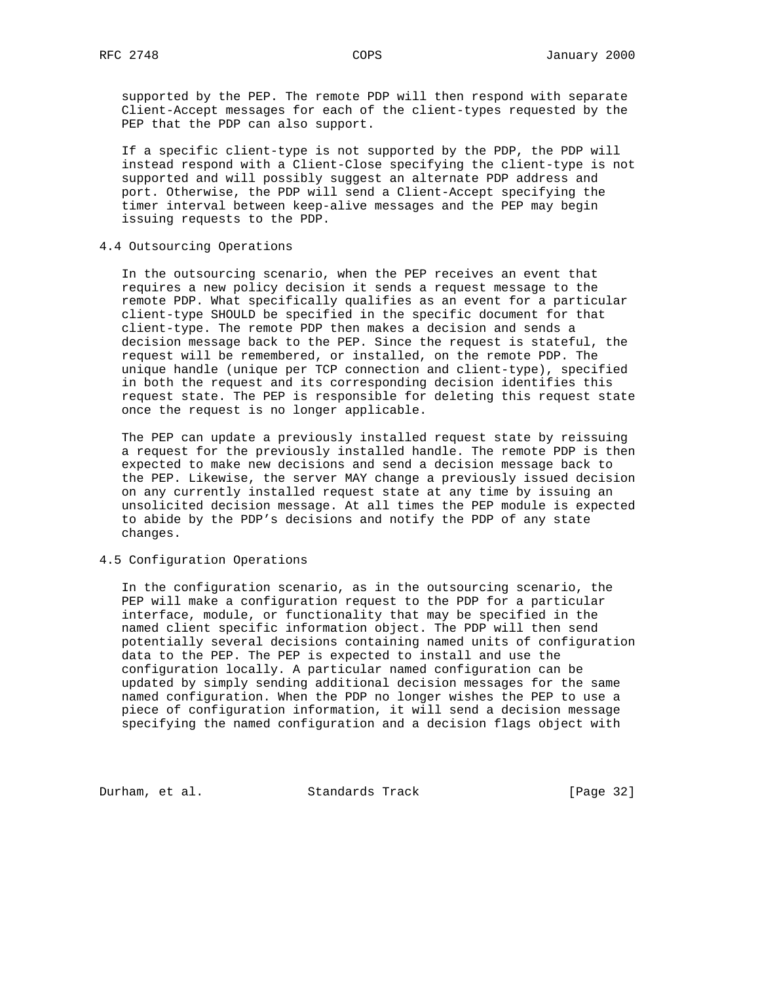supported by the PEP. The remote PDP will then respond with separate Client-Accept messages for each of the client-types requested by the PEP that the PDP can also support.

 If a specific client-type is not supported by the PDP, the PDP will instead respond with a Client-Close specifying the client-type is not supported and will possibly suggest an alternate PDP address and port. Otherwise, the PDP will send a Client-Accept specifying the timer interval between keep-alive messages and the PEP may begin issuing requests to the PDP.

## 4.4 Outsourcing Operations

 In the outsourcing scenario, when the PEP receives an event that requires a new policy decision it sends a request message to the remote PDP. What specifically qualifies as an event for a particular client-type SHOULD be specified in the specific document for that client-type. The remote PDP then makes a decision and sends a decision message back to the PEP. Since the request is stateful, the request will be remembered, or installed, on the remote PDP. The unique handle (unique per TCP connection and client-type), specified in both the request and its corresponding decision identifies this request state. The PEP is responsible for deleting this request state once the request is no longer applicable.

 The PEP can update a previously installed request state by reissuing a request for the previously installed handle. The remote PDP is then expected to make new decisions and send a decision message back to the PEP. Likewise, the server MAY change a previously issued decision on any currently installed request state at any time by issuing an unsolicited decision message. At all times the PEP module is expected to abide by the PDP's decisions and notify the PDP of any state changes.

# 4.5 Configuration Operations

 In the configuration scenario, as in the outsourcing scenario, the PEP will make a configuration request to the PDP for a particular interface, module, or functionality that may be specified in the named client specific information object. The PDP will then send potentially several decisions containing named units of configuration data to the PEP. The PEP is expected to install and use the configuration locally. A particular named configuration can be updated by simply sending additional decision messages for the same named configuration. When the PDP no longer wishes the PEP to use a piece of configuration information, it will send a decision message specifying the named configuration and a decision flags object with

Durham, et al. Standards Track [Page 32]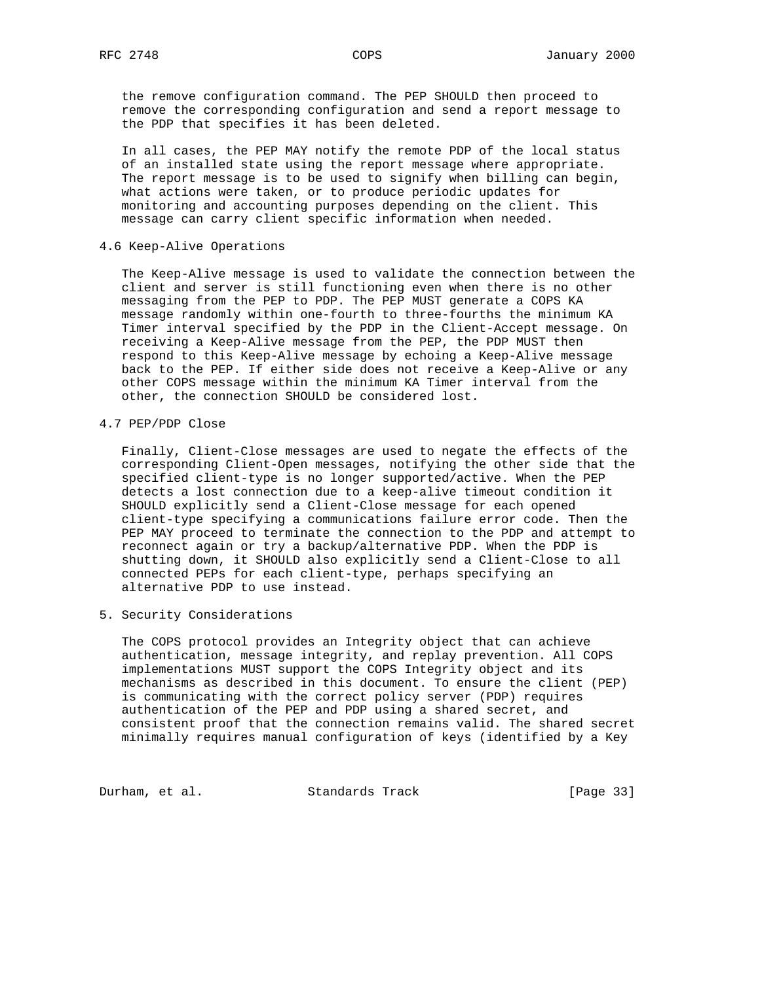the remove configuration command. The PEP SHOULD then proceed to remove the corresponding configuration and send a report message to the PDP that specifies it has been deleted.

 In all cases, the PEP MAY notify the remote PDP of the local status of an installed state using the report message where appropriate. The report message is to be used to signify when billing can begin, what actions were taken, or to produce periodic updates for monitoring and accounting purposes depending on the client. This message can carry client specific information when needed.

4.6 Keep-Alive Operations

 The Keep-Alive message is used to validate the connection between the client and server is still functioning even when there is no other messaging from the PEP to PDP. The PEP MUST generate a COPS KA message randomly within one-fourth to three-fourths the minimum KA Timer interval specified by the PDP in the Client-Accept message. On receiving a Keep-Alive message from the PEP, the PDP MUST then respond to this Keep-Alive message by echoing a Keep-Alive message back to the PEP. If either side does not receive a Keep-Alive or any other COPS message within the minimum KA Timer interval from the other, the connection SHOULD be considered lost.

4.7 PEP/PDP Close

 Finally, Client-Close messages are used to negate the effects of the corresponding Client-Open messages, notifying the other side that the specified client-type is no longer supported/active. When the PEP detects a lost connection due to a keep-alive timeout condition it SHOULD explicitly send a Client-Close message for each opened client-type specifying a communications failure error code. Then the PEP MAY proceed to terminate the connection to the PDP and attempt to reconnect again or try a backup/alternative PDP. When the PDP is shutting down, it SHOULD also explicitly send a Client-Close to all connected PEPs for each client-type, perhaps specifying an alternative PDP to use instead.

5. Security Considerations

 The COPS protocol provides an Integrity object that can achieve authentication, message integrity, and replay prevention. All COPS implementations MUST support the COPS Integrity object and its mechanisms as described in this document. To ensure the client (PEP) is communicating with the correct policy server (PDP) requires authentication of the PEP and PDP using a shared secret, and consistent proof that the connection remains valid. The shared secret minimally requires manual configuration of keys (identified by a Key

Durham, et al. Standards Track [Page 33]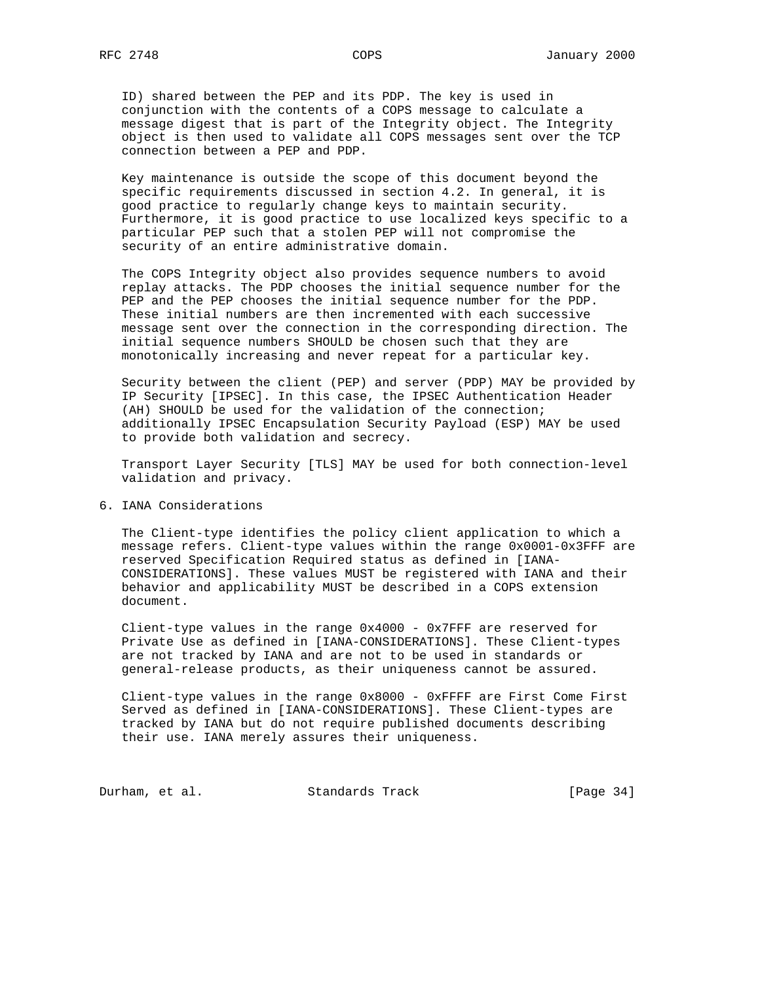ID) shared between the PEP and its PDP. The key is used in conjunction with the contents of a COPS message to calculate a message digest that is part of the Integrity object. The Integrity object is then used to validate all COPS messages sent over the TCP connection between a PEP and PDP.

 Key maintenance is outside the scope of this document beyond the specific requirements discussed in section 4.2. In general, it is good practice to regularly change keys to maintain security. Furthermore, it is good practice to use localized keys specific to a particular PEP such that a stolen PEP will not compromise the security of an entire administrative domain.

 The COPS Integrity object also provides sequence numbers to avoid replay attacks. The PDP chooses the initial sequence number for the PEP and the PEP chooses the initial sequence number for the PDP. These initial numbers are then incremented with each successive message sent over the connection in the corresponding direction. The initial sequence numbers SHOULD be chosen such that they are monotonically increasing and never repeat for a particular key.

 Security between the client (PEP) and server (PDP) MAY be provided by IP Security [IPSEC]. In this case, the IPSEC Authentication Header (AH) SHOULD be used for the validation of the connection; additionally IPSEC Encapsulation Security Payload (ESP) MAY be used to provide both validation and secrecy.

 Transport Layer Security [TLS] MAY be used for both connection-level validation and privacy.

# 6. IANA Considerations

 The Client-type identifies the policy client application to which a message refers. Client-type values within the range 0x0001-0x3FFF are reserved Specification Required status as defined in [IANA- CONSIDERATIONS]. These values MUST be registered with IANA and their behavior and applicability MUST be described in a COPS extension document.

 Client-type values in the range 0x4000 - 0x7FFF are reserved for Private Use as defined in [IANA-CONSIDERATIONS]. These Client-types are not tracked by IANA and are not to be used in standards or general-release products, as their uniqueness cannot be assured.

Client-type values in the range  $0x8000 - 0x$ FFFF are First Come First Served as defined in [IANA-CONSIDERATIONS]. These Client-types are tracked by IANA but do not require published documents describing their use. IANA merely assures their uniqueness.

Durham, et al. Standards Track [Page 34]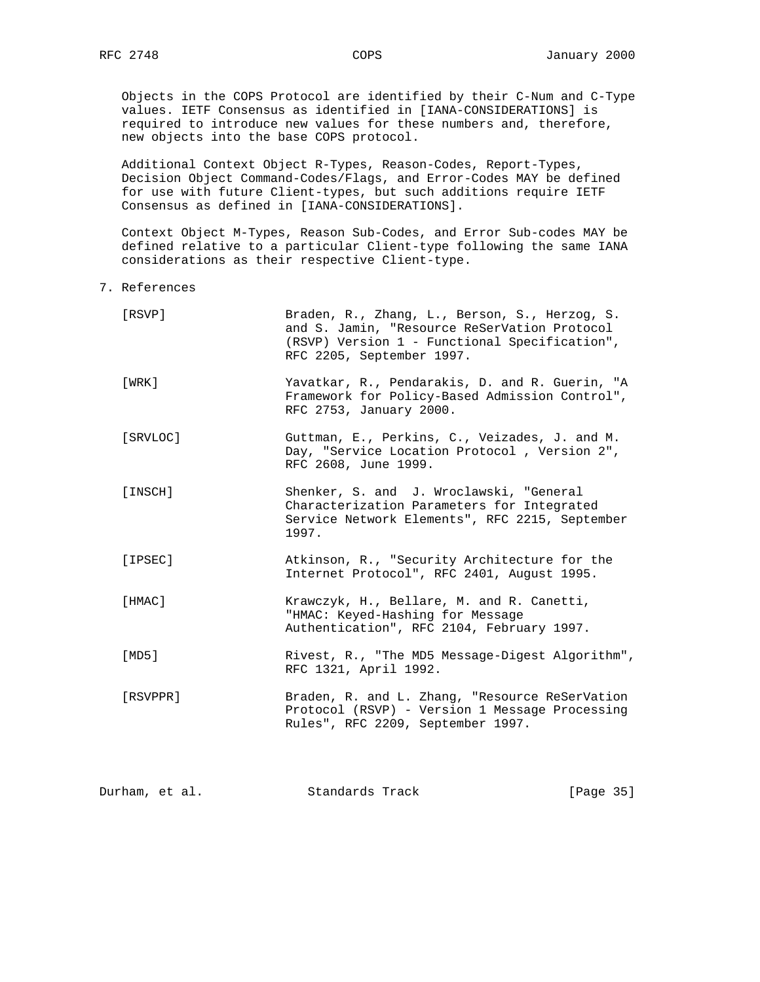Objects in the COPS Protocol are identified by their C-Num and C-Type values. IETF Consensus as identified in [IANA-CONSIDERATIONS] is required to introduce new values for these numbers and, therefore, new objects into the base COPS protocol.

 Additional Context Object R-Types, Reason-Codes, Report-Types, Decision Object Command-Codes/Flags, and Error-Codes MAY be defined for use with future Client-types, but such additions require IETF Consensus as defined in [IANA-CONSIDERATIONS].

 Context Object M-Types, Reason Sub-Codes, and Error Sub-codes MAY be defined relative to a particular Client-type following the same IANA considerations as their respective Client-type.

7. References

| [RSVP]   | Braden, R., Zhang, L., Berson, S., Herzog, S.<br>and S. Jamin, "Resource ReSerVation Protocol<br>(RSVP) Version 1 - Functional Specification",<br>RFC 2205, September 1997. |
|----------|-----------------------------------------------------------------------------------------------------------------------------------------------------------------------------|
| [WRK]    | Yavatkar, R., Pendarakis, D. and R. Guerin, "A<br>Framework for Policy-Based Admission Control",<br>RFC 2753, January 2000.                                                 |
| [SRVLOC] | Guttman, E., Perkins, C., Veizades, J. and M.<br>Day, "Service Location Protocol, Version 2",<br>RFC 2608, June 1999.                                                       |
| [INSCH]  | Shenker, S. and J. Wroclawski, "General<br>Characterization Parameters for Integrated<br>Service Network Elements", RFC 2215, September<br>1997.                            |
| [IPSEC]  | Atkinson, R., "Security Architecture for the<br>Internet Protocol", RFC 2401, August 1995.                                                                                  |
| [HMAC]   | Krawczyk, H., Bellare, M. and R. Canetti,<br>"HMAC: Keyed-Hashing for Message<br>Authentication", RFC 2104, February 1997.                                                  |
| [MD5]    | Rivest, R., "The MD5 Message-Digest Algorithm",<br>RFC 1321, April 1992.                                                                                                    |
| [RSVPPR] | Braden, R. and L. Zhang, "Resource ReSerVation<br>Protocol (RSVP) - Version 1 Message Processing<br>Rules", RFC 2209, September 1997.                                       |

| Durham, et al. | Standards Track | [Page 35] |
|----------------|-----------------|-----------|
|                |                 |           |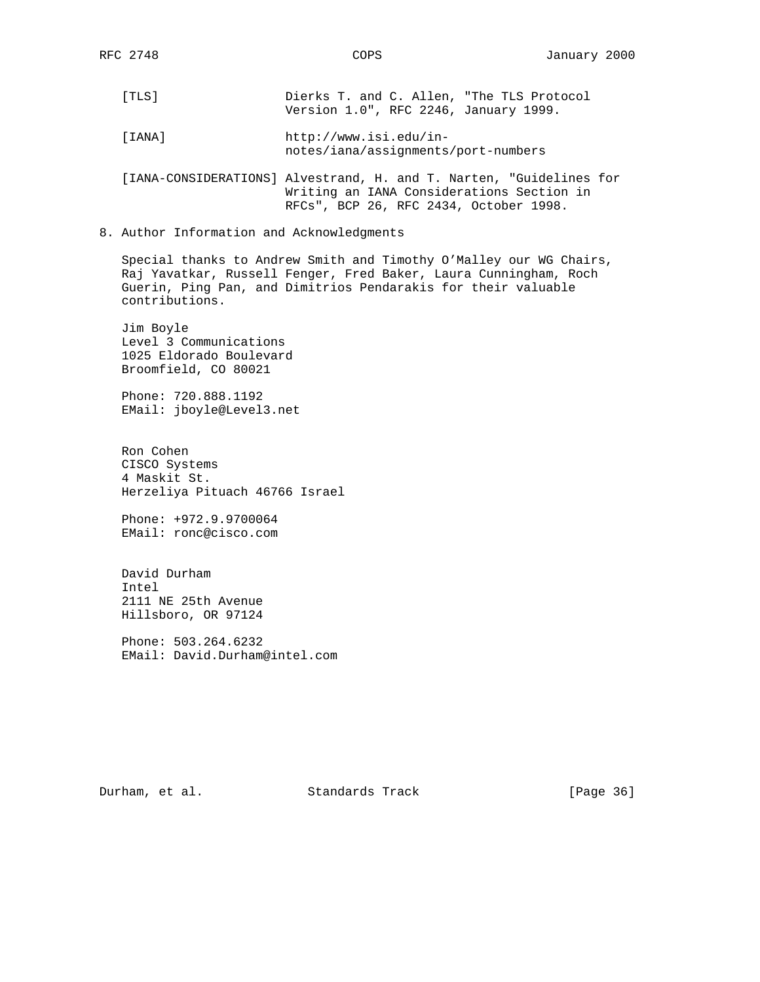- [TLS] Dierks T. and C. Allen, "The TLS Protocol Version 1.0", RFC 2246, January 1999.
- [IANA] http://www.isi.edu/in notes/iana/assignments/port-numbers

 [IANA-CONSIDERATIONS] Alvestrand, H. and T. Narten, "Guidelines for Writing an IANA Considerations Section in RFCs", BCP 26, RFC 2434, October 1998.

8. Author Information and Acknowledgments

 Special thanks to Andrew Smith and Timothy O'Malley our WG Chairs, Raj Yavatkar, Russell Fenger, Fred Baker, Laura Cunningham, Roch Guerin, Ping Pan, and Dimitrios Pendarakis for their valuable contributions.

 Jim Boyle Level 3 Communications 1025 Eldorado Boulevard Broomfield, CO 80021

 Phone: 720.888.1192 EMail: jboyle@Level3.net

 Ron Cohen CISCO Systems 4 Maskit St. Herzeliya Pituach 46766 Israel

 Phone: +972.9.9700064 EMail: ronc@cisco.com

 David Durham Intel 2111 NE 25th Avenue Hillsboro, OR 97124

 Phone: 503.264.6232 EMail: David.Durham@intel.com

Durham, et al. Standards Track [Page 36]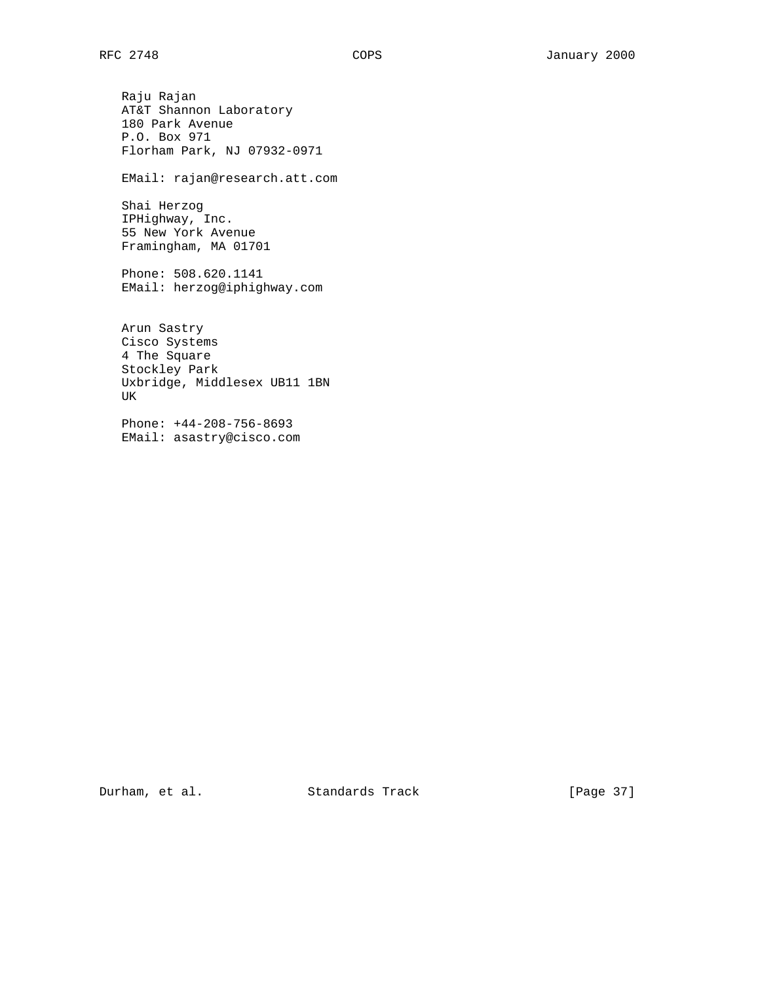Raju Rajan AT&T Shannon Laboratory 180 Park Avenue P.O. Box 971 Florham Park, NJ 07932-0971 EMail: rajan@research.att.com Shai Herzog IPHighway, Inc. 55 New York Avenue Framingham, MA 01701 Phone: 508.620.1141 EMail: herzog@iphighway.com Arun Sastry Cisco Systems 4 The Square Stockley Park Uxbridge, Middlesex UB11 1BN UK

 Phone: +44-208-756-8693 EMail: asastry@cisco.com

Durham, et al. Standards Track [Page 37]